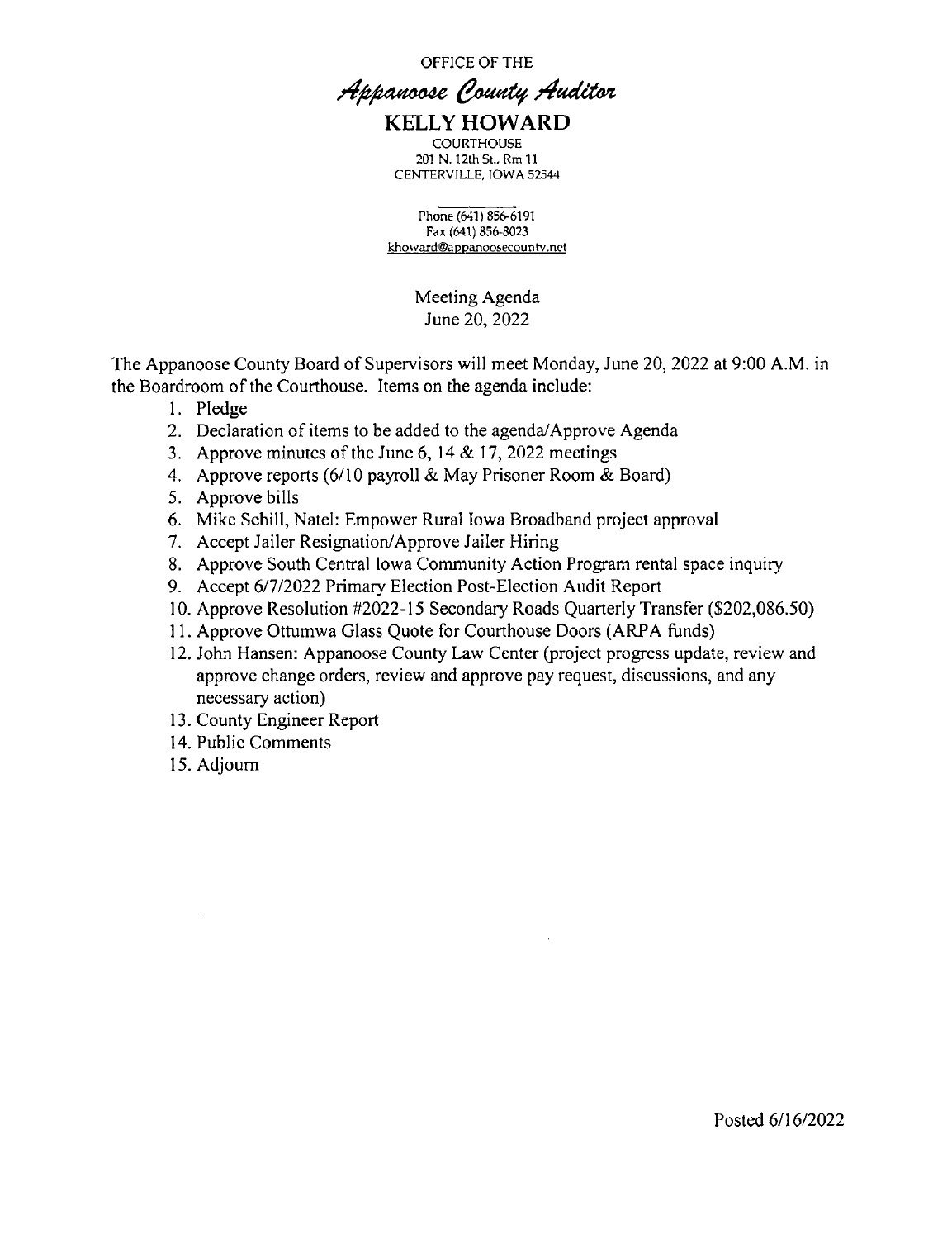OFFICE OF THE

## Appanoose County Auditor KELLY HOWARD

**COURTHOUSE** 201 N. 12th St., Rm 11 CENTERVILLE, IOWA 52544

Phone (641) 856-6191 Fax (641) 856-8023 khoward®agpanoosecountv.not

> Meeting Agenda June 20, 2022

The Appanoose County Board of Supervisors will meet Monday, June 20, 2022 at 9:00 A.M. in the Boardroom of the Courthouse. Items on the agenda include:

- 1. Pledge
- 2. Declaration of items to be added to the agenda/Approve Agenda
- 3. Approve minutes of the June 6, 14  $& 17, 2022$  meetings
- 4. Approve reports (6/10 payroll & May Prisoner Room & Board)
- 5. Approve bills
- Mike Schill, Natel: Empower Rural Iowa Broadband project approval
- 7. Accept Jailer Resignation/Approve Jailer Hiring
- Approve South Central Iowa Community Action Program rental space inquiry
- 9. Accept 6/7/2022 Primary Election Post-Election Audit Report
- 10. Approve Resolution #2022-15 Secondary Roads Quarterly Transfer (\$202,086.50)
- 11. Approve Ottumwa Glass Quote for Courthouse Doors (ARPA funds)
- 12. John Hansen: Appanoose County Law Center (project progress update, review and approve change orders, review and approve pay request, discussions, and any necessary action)
- 13. County Engineer Report
- 14. Public Comments
- 15. Adjourn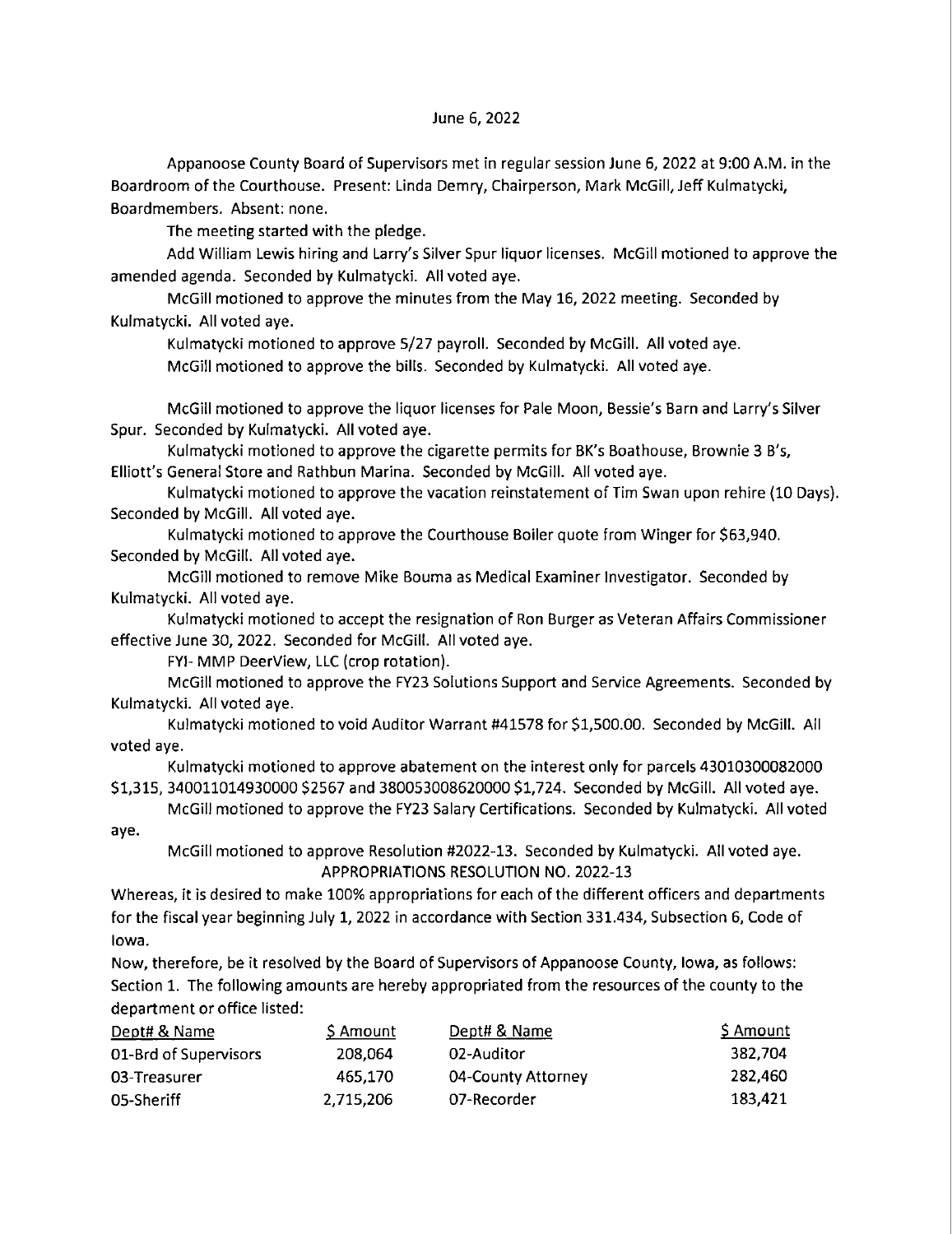#### June 6, 2022

Appanoose County Board of Supervisors met in regular session June 6, 2022 at 9:00 AM. in the Boardroom of the Courthouse. Present: Linda Demry, Chairperson, Mark McGill, Jeff Kulmatycki, Boardmembers. Absent: none.

The meeting started with the pledge.

Add William Lewis hiring and Larry's Silver Spur liquor licenses. McGill motioned to approve the amended agenda. Seconded by Kulmatycki. All voted aye.

McGill motioned to approve the minutes from the May 16, 2022 meeting. Seconded by Kulmatycki. All voted aye.

Kulmatycki motioned to approve 5/27 payroll. Seconded by McGilI. All voted aye.

McGilI motioned to approve the bills' Seconded by Kulmatycki. All voted aye.

McGill motioned to approve the liquor licenses for Pale Moon, Bessie's Barn and Larry's Silver Spur. Seconded by Kulmatycki. All voted aye.

Kulmatycki motioned to approve the cigarette permits for BK's Boathouse, Brownie 3 8'5, Elliott's General Store and Rathbun Marina. Seconded by McGill. All voted aye.

Kulmatycki motioned to approve the vacation reinstatement of Tim Swan upon rehire (10 Days). Seconded by McGilI. All voted aye.

Kulmatycki motioned to approve the Courthouse Boiler quote from Winger for \$63,940. Seconded by McGiIl. All voted aye.

McGill motioned to remove Mike Bouma as Medical Examiner Investigator. Seconded by Kulmatycki. All voted aye.

Kulmatycki motioned to accept the resignation of Ron Burger as Veteran Affairs Commissioner effective June 30, 2022. Seconded for McGiIl. All voted aye.

FYI— MMP DeerView, LLC (crop rotation).

McGill motioned to approve the FY23 Solutions Support and Service Agreements. Seconded by Kulmatycki. All voted aye.

Kulmatvcki motioned to void Auditor Warrant #41578 for \$1,500.00. Seconded by McGill. All voted aye.

Kulmatycki motioned to approve abatement on the interest only for parcels 43010300082000 \$1,315, 340011014930000 \$2567 and 380053008620000 \$1,724. Seconded by MCGilI. All voted aye.

McGill motioned to approve the FY23 Salary Certifications. Seconded by Kulmatycki. All voted aye.

McGill motioned to approve Resolution #2022—13. Seconded by Kulmatycki. All voted aye. APPROPRIATIONS RESOLUTION NO. 2022-13

Whereas, it is desired to make 100% appropriations for each of the different officers and departments for the fiscal year beginning July 1, 2022 in accordance with Section 331.434, Subsection 6, Code of Iowa.

Now, therefore, be it resolved by the Board of Supervisors of Appanoose County, Iowa, as follows: Section 1. The following amounts are hereby appropriated from the resources of the county to the department or office listed:

| Dept# & Name          | S Amount  | Dept# & Name       | \$ Amount |
|-----------------------|-----------|--------------------|-----------|
| 01-Brd of Supervisors | 208.064   | 02-Auditor         | 382.704   |
| 03-Treasurer          | 465.170   | 04-County Attorney | 282,460   |
| 05-Sheriff            | 2,715,206 | 07-Recorder        | 183.421   |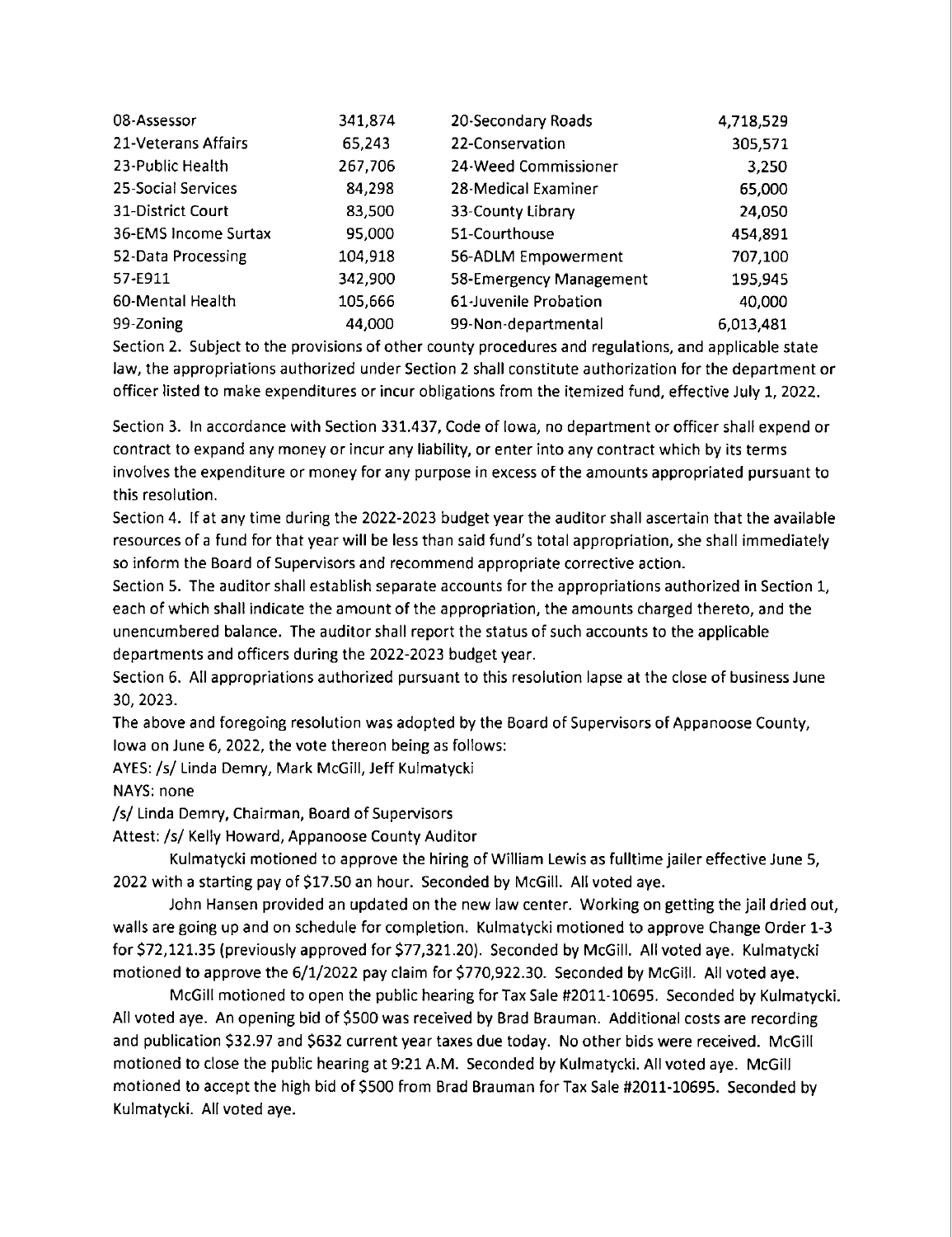| 08-Assessor          | 341,874 | 20-Secondary Roads      | 4,718,529 |
|----------------------|---------|-------------------------|-----------|
| 21-Veterans Affairs  | 65,243  | 22-Conservation         | 305,571   |
| 23-Public Health     | 267,706 | 24-Weed Commissioner    | 3,250     |
| 25-Social Services   | 84,298  | 28-Medical Examiner     | 65,000    |
| 31-District Court    | 83,500  | 33-County Library       | 24,050    |
| 36-EMS Income Surtax | 95,000  | 51-Courthouse           | 454,891   |
| 52-Data Processing   | 104,918 | 56-ADLM Empowerment     | 707,100   |
| 57-E911              | 342,900 | 58-Emergency Management | 195,945   |
| 60-Mental Health     | 105,666 | 61-Juvenile Probation   | 40,000    |
| 99-Zoning            | 44,000  | 99-Non-departmental     | 6,013,481 |

Section 2. Subject to the provisions of other county procedures and regulations, and applicable state law, the appropriations authorized under Section 2 shall constitute authorization for the department or officer listed to make expenditures or incur obligations from the itemized fund, effective July 1, 2022.

Section 3. In accordance with Section 331.437, Code of Iowa, no department or officer shall expend or contract to expand any money or incur any liability, or enter into any contract which by its terms involves the expenditure or money for any purpose in excess of the amounts appropriated pursuant to this resolution.

Section 4. If at any time during the 2022-2023 budget year the auditor shall ascertain that the available resources of a fund for that year will be less than said fund's total appropriation, she shall immediately so inform the Board of Supervisors and recommend appropriate corrective action.

Section 5. The auditor shall establish separate accounts for the appropriations authorized in Section 1, each of which shall indicate the amount of the appropriation, the amounts charged thereto, and the unencumbered balance. The auditor shall report the status of such accounts to the applicable departments and officers during the 2022-2023 budget year.

Section 6. All appropriations authorized pursuant to this resolution lapse at the close of business June 30, 2023.

The above and foregoing resolution was adopted by the Board of Supervisors of Appanoose County, Iowa on June 6, 2022, the vote thereon being as follows:

AYES: /5/ Linda Demry, Mark McGill, Jeff Kulmatycki

NAYS: none

/s/ Linda Demry, Chairman, Board of Supervisors

Attest: /5/ Kelly Howard, Appanoose County Auditor

Kulmatycki motioned to approve the hiring of William Lewis as fulltime jailer effective June 5, 2022 with a starting pay of \$17.50 an hour. Seconded by McGill. All voted aye.

John Hansen provided an updated on the new law center. Working on getting the jail dried out, walls are going up and on schedule for completion. Kulmatycki motioned to approve Change Order 1-3 for \$72,121.35 (previously approved for \$77,321.20). Seconded by McGiII. All voted aye. Kulmatycki motioned to approve the 6/1/2022 pay claim for \$770,922.30. Seconded by McGiH. All voted aye.

McGill motioned to open the public hearing for Tax Sale #2011-10695. Seconded by Kulmatycki. All voted aye. An opening bid of \$500 was received by Brad Brauman. Additional costs are recording and publication \$32.97 and \$632 current year taxes due today. No other bids were received. McGill motioned to close the public hearing at 9:21 AM. Seconded by Kulmatycki. All voted aye. McGill motioned to accept the high bid of \$500 from Brad Brauman for Tax Sale #2011-10695. Seconded by Kulmatycki. All voted aye.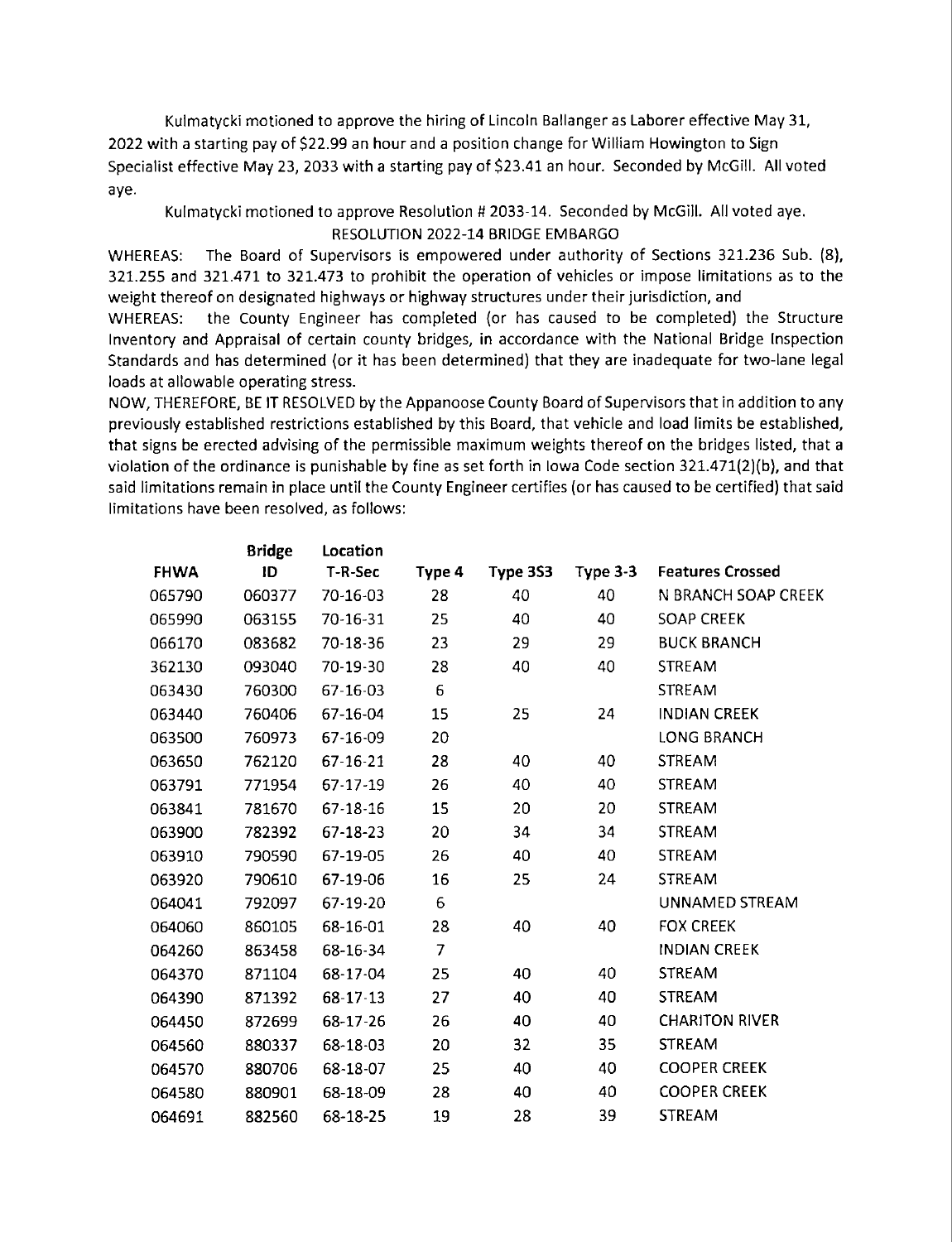Kulmatycki motioned to approve the hiring of Lincoln Ballanger as Laborer effective May 31, 2022 with a starting pay of \$22.99 an hour and a position change for William Howington to Sign Specialist effective May 23, 2033 with a starting pay of \$23.41 an hour. Seconded by McGilI. All voted aye.

## Kulmatycki motioned to approve Resolution # 2033-14. Seconded by McGill. All voted aye. RESOLUTION 2022-14 BRIDGE EMBARGO

WHEREAS: The Board of Supervisors is empowered under authority of Sections 321.236 Sub. (8), 321.255 and 321.471 to 321.473 to prohibit the operation of vehicles or impose limitations as to the weight thereof on designated highways or highway structures under their jurisdiction, and

WHEREAS: the County Engineer has completed (or has caused to be completed) the Structure Inventory and Appraisal of certain county bridges, in accordance with the National Bridge Inspection Standards and has determined (or it has been determined) that they are inadequate for two-lane legal loads at allowable operating stress.

NOW, THEREFORE, BE IT RESOLVED by the Appanoose County Board of Supervisors that in addition to any previously established restrictions established by this Board, that vehicle and load limits be established, that signs be erected advising of the permissible maximum weights thereof on the bridges listed, that <sup>a</sup> violation of the ordinance is punishable by fine as set forth in Iowa Code section 321.471(2)(b), and that said limitations remain in place until the County Engineer certifies (or has caused to be certified) that said limitations have been resolved, as follows:

|             | <b>Bridge</b> | Location |                |          |            |                         |
|-------------|---------------|----------|----------------|----------|------------|-------------------------|
| <b>FHWA</b> | ID            | T-R-Sec  | Type 4         | Type 3S3 | Type $3-3$ | <b>Features Crossed</b> |
| 065790      | 060377        | 70-16-03 | 28             | 40       | 40         | N BRANCH SOAP CREEK     |
| 065990      | 063155        | 70-16-31 | 25             | 40       | 40         | <b>SOAP CREEK</b>       |
| 066170      | 083682        | 70-18-36 | 23             | 29       | 29         | <b>BUCK BRANCH</b>      |
| 362130      | 093040        | 70-19-30 | 28             | 40       | 40         | <b>STREAM</b>           |
| 063430      | 760300        | 67-16-03 | 6              |          |            | <b>STREAM</b>           |
| 063440      | 760406        | 67-16-04 | 15             | 25       | 24         | <b>INDIAN CREEK</b>     |
| 063500      | 760973        | 67-16-09 | 20             |          |            | <b>LONG BRANCH</b>      |
| 063650      | 762120        | 67-16-21 | 28             | 40       | 40         | <b>STREAM</b>           |
| 063791      | 771954        | 67-17-19 | 26             | 40       | 40         | <b>STREAM</b>           |
| 063841      | 781670        | 67-18-16 | 15             | 20       | 20         | <b>STREAM</b>           |
| 063900      | 782392        | 67-18-23 | 20             | 34       | 34         | <b>STREAM</b>           |
| 063910      | 790590        | 67-19-05 | 26             | 40       | 40         | <b>STREAM</b>           |
| 063920      | 790610        | 67-19-06 | 16             | 25       | 24         | <b>STREAM</b>           |
| 064041      | 792097        | 67-19-20 | 6              |          |            | UNNAMED STREAM          |
| 064060      | 860105        | 68-16-01 | 28             | 40       | 40         | <b>FOX CREEK</b>        |
| 064260      | 863458        | 68-16-34 | $\overline{7}$ |          |            | <b>INDIAN CREEK</b>     |
| 064370      | 871104        | 68-17-04 | 25             | 40       | 40         | <b>STREAM</b>           |
| 064390      | 871392        | 68-17-13 | 27             | 40       | 40         | <b>STREAM</b>           |
| 064450      | 872699        | 68-17-26 | 26             | 40       | 40         | <b>CHARITON RIVER</b>   |
| 064560      | 880337        | 68-18-03 | 20             | 32       | 35         | <b>STREAM</b>           |
| 064570      | 880706        | 68-18-07 | 25             | 40       | 40         | <b>COOPER CREEK</b>     |
| 064580      | 880901        | 68-18-09 | 28             | 40       | 40         | <b>COOPER CREEK</b>     |
| 064691      | 882560        | 68-18-25 | 19             | 28       | 39         | <b>STREAM</b>           |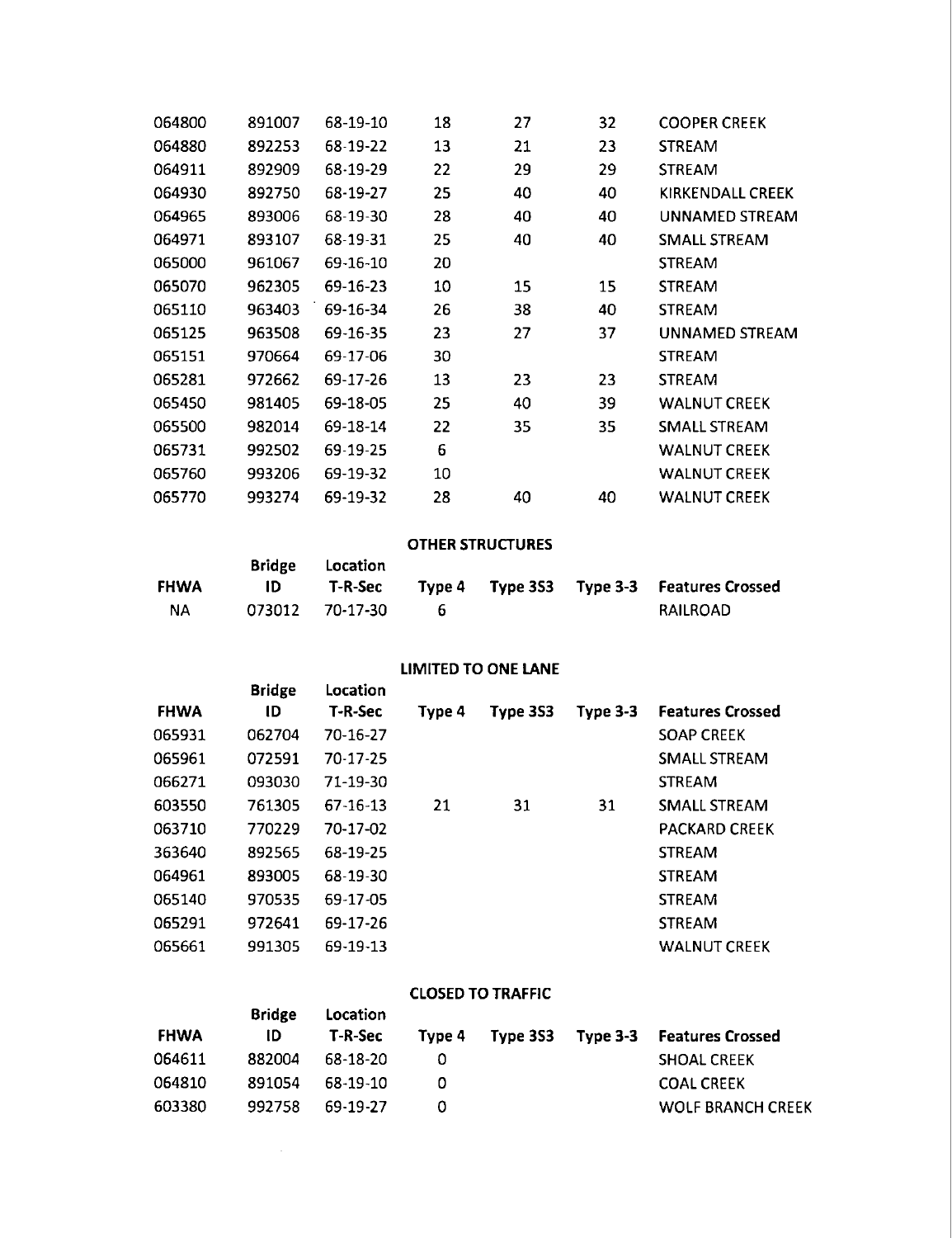| 064800 | 891007 | 68-19-10 | 18 | 27 | 32 | <b>COOPER CREEK</b> |
|--------|--------|----------|----|----|----|---------------------|
| 064880 | 892253 | 68-19-22 | 13 | 21 | 23 | <b>STREAM</b>       |
| 064911 | 892909 | 68-19-29 | 22 | 29 | 29 | <b>STREAM</b>       |
| 064930 | 892750 | 68-19-27 | 25 | 40 | 40 | KIRKENDALL CREEK    |
| 064965 | 893006 | 68-19-30 | 28 | 40 | 40 | UNNAMED STREAM      |
| 064971 | 893107 | 68-19-31 | 25 | 40 | 40 | SMALL STREAM        |
| 065000 | 961067 | 69-16-10 | 20 |    |    | <b>STREAM</b>       |
| 065070 | 962305 | 69-16-23 | 10 | 15 | 15 | <b>STREAM</b>       |
| 065110 | 963403 | 69-16-34 | 26 | 38 | 40 | <b>STREAM</b>       |
| 065125 | 963508 | 69-16-35 | 23 | 27 | 37 | UNNAMED STREAM      |
| 065151 | 970664 | 69-17-06 | 30 |    |    | <b>STREAM</b>       |
| 065281 | 972662 | 69-17-26 | 13 | 23 | 23 | <b>STREAM</b>       |
| 065450 | 981405 | 69-18-05 | 25 | 40 | 39 | <b>WALNUT CREEK</b> |
| 065500 | 982014 | 69-18-14 | 22 | 35 | 35 | SMALL STREAM        |
| 065731 | 992502 | 69-19-25 | 6  |    |    | <b>WALNUT CREEK</b> |
| 065760 | 993206 | 69-19-32 | 10 |    |    | <b>WALNUT CREEK</b> |
| 065770 | 993274 | 69-19-32 | 28 | 40 | 40 | <b>WALNUT CREEK</b> |
|        |        |          |    |    |    |                     |

#### OTHER STRUCTURES

|             |    | Bridge Location |  |                                                   |
|-------------|----|-----------------|--|---------------------------------------------------|
| <b>FHWA</b> | ID |                 |  | T-R-Sec Type 4 Type 353 Type 3-3 Features Crossed |
| ΝA          |    | 073012 70-17-30 |  | RAILROAD                                          |

# LIMITED TO ONE LANE

|             | <b>Bridge</b> | Location |        |          |                 |                         |
|-------------|---------------|----------|--------|----------|-----------------|-------------------------|
| <b>FHWA</b> | ID            | T-R-Sec  | Type 4 | Type 3S3 | <b>Type 3-3</b> | <b>Features Crossed</b> |
| 065931      | 062704        | 70-16-27 |        |          |                 | <b>SOAP CREEK</b>       |
| 065961      | 072591        | 70-17-25 |        |          |                 | SMALL STREAM            |
| 066271      | 093030        | 71-19-30 |        |          |                 | <b>STREAM</b>           |
| 603550      | 761305        | 67-16-13 | 21     | 31       | 31              | SMALL STREAM            |
| 063710      | 770229        | 70-17-02 |        |          |                 | <b>PACKARD CREEK</b>    |
| 363640      | 892565        | 68-19-25 |        |          |                 | <b>STREAM</b>           |
| 064961      | 893005        | 68-19-30 |        |          |                 | <b>STREAM</b>           |
| 065140      | 970535        | 69-17-05 |        |          |                 | <b>STREAM</b>           |
| 065291      | 972641        | 69-17-26 |        |          |                 | <b>STREAM</b>           |
| 065661      | 991305        | 69-19-13 |        |          |                 | <b>WALNUT CREEK</b>     |

#### CLOSED TO TRAFFIC

|             | <b>Bridge</b> | Location |  |                                           |
|-------------|---------------|----------|--|-------------------------------------------|
| <b>FHWA</b> | ID            | T-R-Sec  |  | Type 4 Type 353 Type 3-3 Features Crossed |
| 064611      | 882004        | 68-18-20 |  | <b>SHOAL CREEK</b>                        |
| 064810      | 891054        | 68-19-10 |  | <b>COAL CREEK</b>                         |
| 603380      | 992758        | 69-19-27 |  | <b>WOLF BRANCH CREEK</b>                  |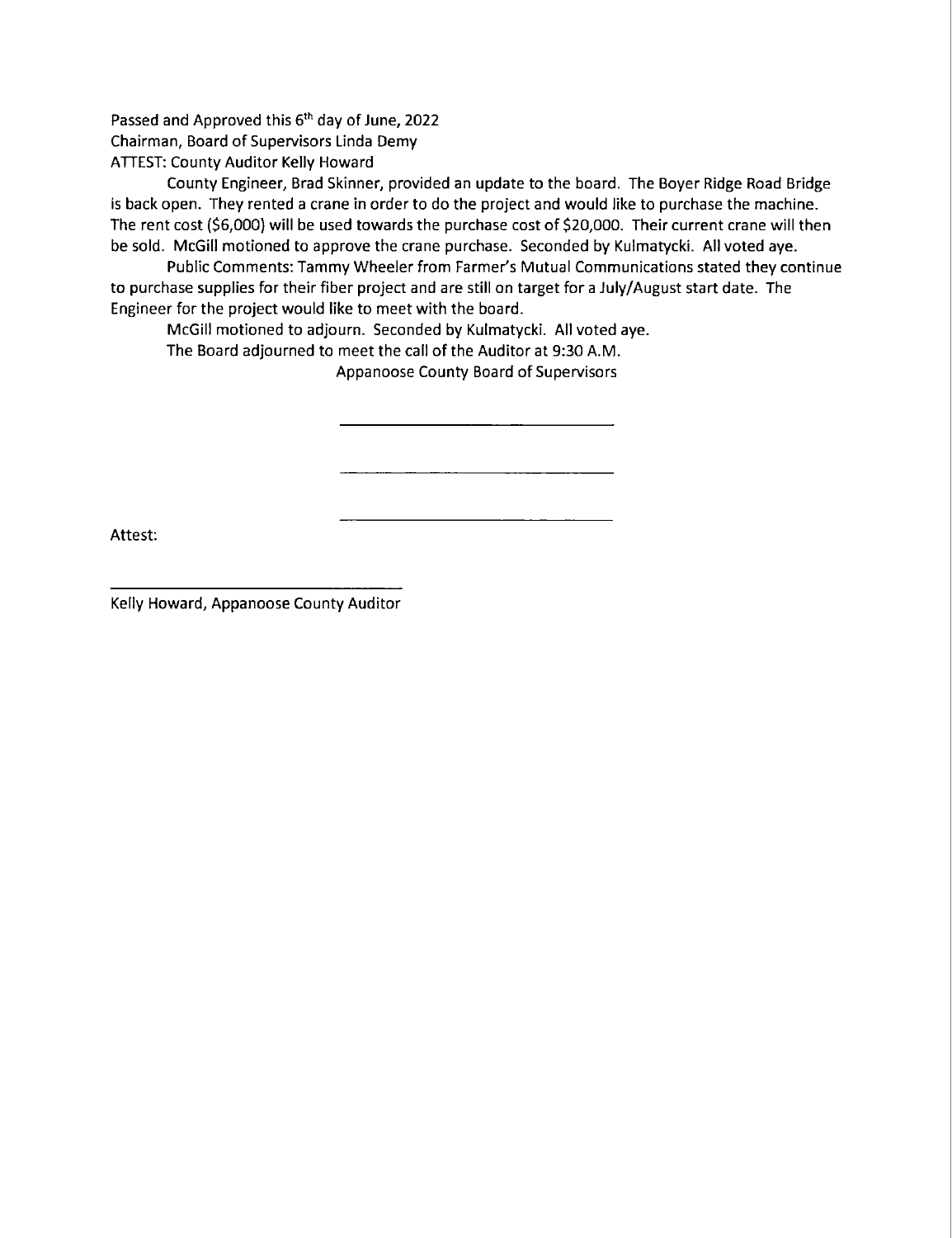Passed and Approved this 6<sup>th</sup> day of June, 2022 Chairman, Board of Supervisors Linda Demy ATTEST: County Auditor Kelly Howard

County Engineer, Brad Skinner, provided an update to the board. The Boyer Ridge Road Bridge is back open. They rented a crane in order to do the project and would like to purchase the machine. The rent cost (\$6,000) will be used towards the purchase cost of \$20,000. Their current crane will then be sold. McGill motioned to approve the crane purchase. Seconded by Kulmatycki. All voted aye.

Public Comments: Tammy Wheeler from Farmer's Mutual Communications stated they continue to purchase supplies for their fiber project and are still on target for a July/August start date. The Engineer for the project would like to meet with the board.

McGiIl motioned to adjourn. Seconded by Kulmatycki. All voted aye.

The Board adjourned to meet the call of the Auditor at 9:30 AM.

Appanoose County Board of Supervisors

Attest:

Kelly Howard, Appanoose County Auditor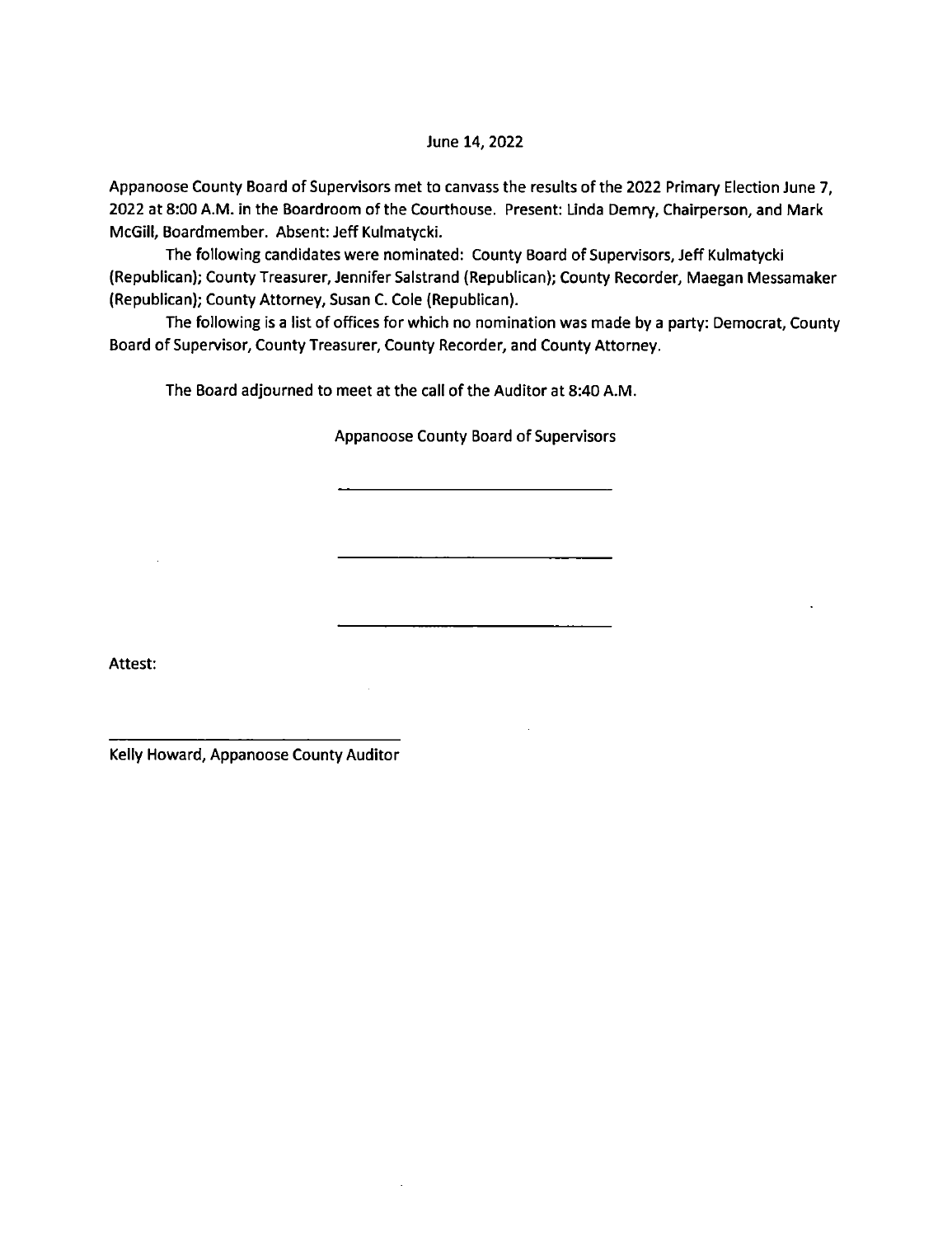#### June 14, 2022

Appanoose County Board of Supervisors met to canvass the results of the 2022 Primary Election June 7, 2022 at 8:00 AM. in the Boardroom of the Courthouse. Present: Linda Demry, Chairperson, and Mark McGill, Boardmember. Absent: Jeff Kulmatycki.

The following candidates were nominated: County Board of Supervisors, Jeff Kulmatycki (Republican); County Treasurer, Jennifer Salstrand (Republican); County Recorder, Maegan Messamaker (Republican); County Attorney, Susan C. Cole (Republican).

The following is a list of offices for which no nomination was made by a party: Democrat, County Board of Supervisor, County Treasurer, County Recorder, and County Attorney.

The Board adjourned to meet at the call of the Auditor at 8:40 AM.

 $\mathcal{L}^{\pm}$ 

#### Appanoose County Board of Supervisors

Attest:

Kelly Howard, Appanoose County Auditor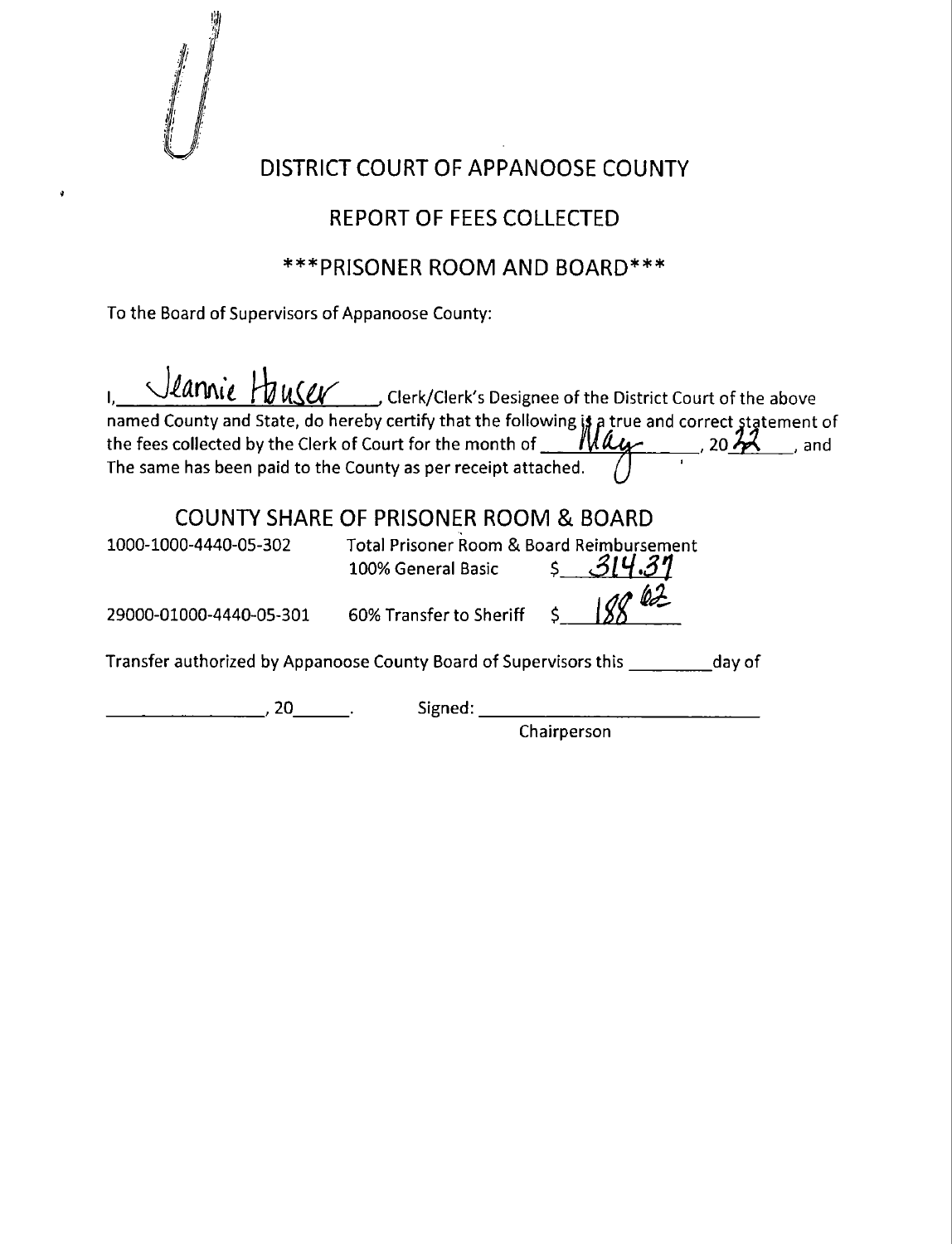

ö

## DISTRICT COURT OF APPANOOSE COUNTY

## REPORT OF FEES COLLECTED

## \*\*\*PRISONER ROOM AND BOARD\*\*\*

To the Board of Supervisors of Appanoose County:

|                         | Stannie Hauser Clerk/Clerk's Designee of the District Court of the above                                                                                                          |
|-------------------------|-----------------------------------------------------------------------------------------------------------------------------------------------------------------------------------|
|                         | named County and State, do hereby certify that the following is a true and correct statement of the fees collected by the Clerk of Court for the month of <b>May</b> , 20 22, and |
|                         | $20\frac{12}{10}$                                                                                                                                                                 |
|                         | The same has been paid to the County as per receipt attached.                                                                                                                     |
|                         | <b>COUNTY SHARE OF PRISONER ROOM &amp; BOARD</b>                                                                                                                                  |
| 1000-1000-4440-05-302   | Total Prisoner Room & Board Reimbursement<br>100% General Basic 5 31                                                                                                              |
| 29000-01000-4440-05-301 | 60% Transfer to Sheriff                                                                                                                                                           |
|                         | Transfer authorized by Appanoose County Board of Supervisors this day of                                                                                                          |
| 20.                     | Signed.                                                                                                                                                                           |
|                         | Chairperson                                                                                                                                                                       |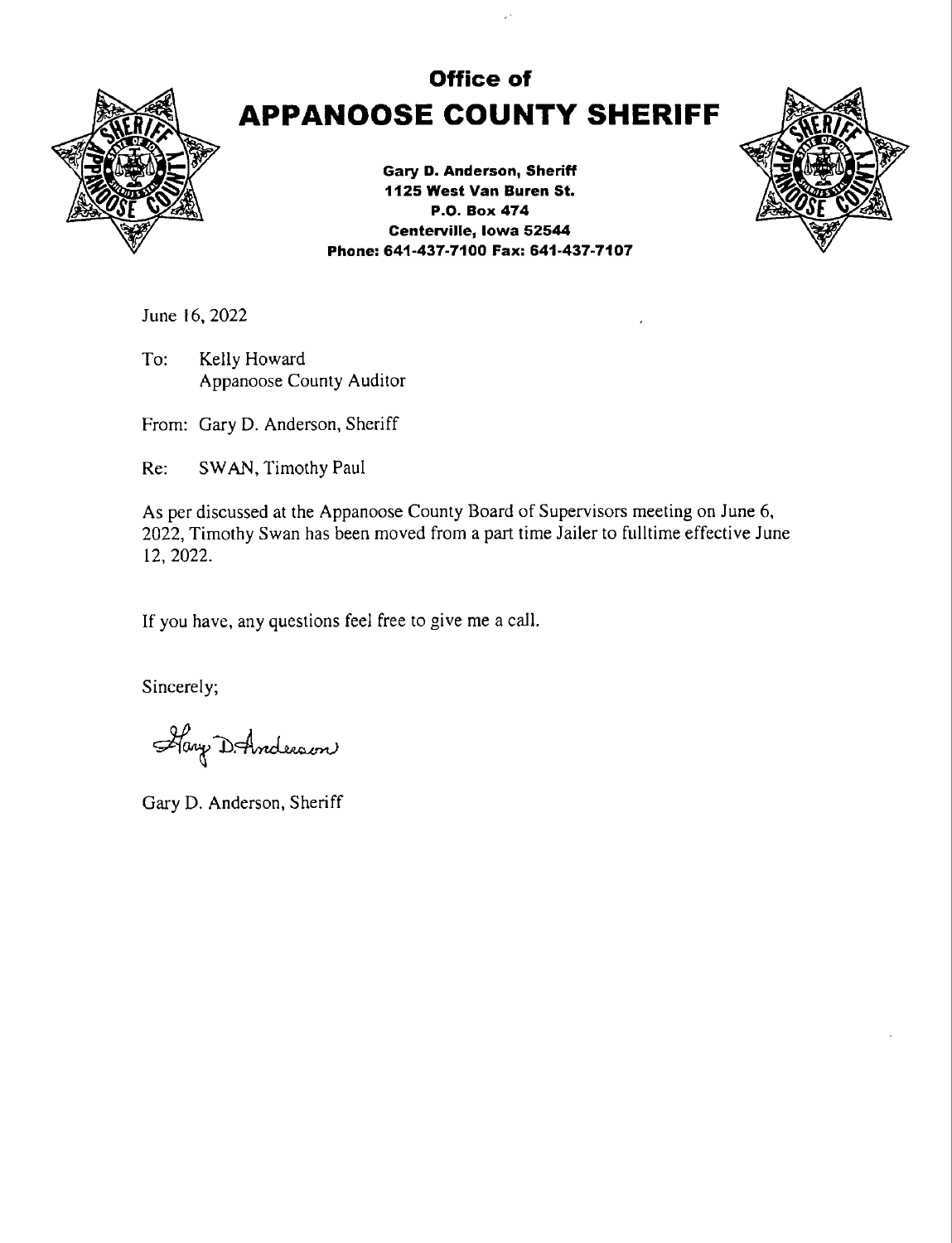

# Office of APPANOOSE COUNTY SHERIFF

Gary D. Anderson, Sheriff 1125 West Van Buren St. P.O. Box 474 Centerville, Iowa 52544 Phone: 641-437-7100 Fax: 641-437-7107



June 16. 2022

To: Kelly Howard Appanoose County Auditor

From: Gary D. Anderson, Sheriff

Re: SWAN, Timothy Paul

As per discussed at the Appanoose County Board of Supervisors meeting on June 6, 2022, Timothy Swan has been moved from a part time Jailer to fulltime effective June 12, 2022.

If you have, any questions feel free to give me a call.

Sincerely;

Hay D. Anderson

Gary D. Anderson, Sheriff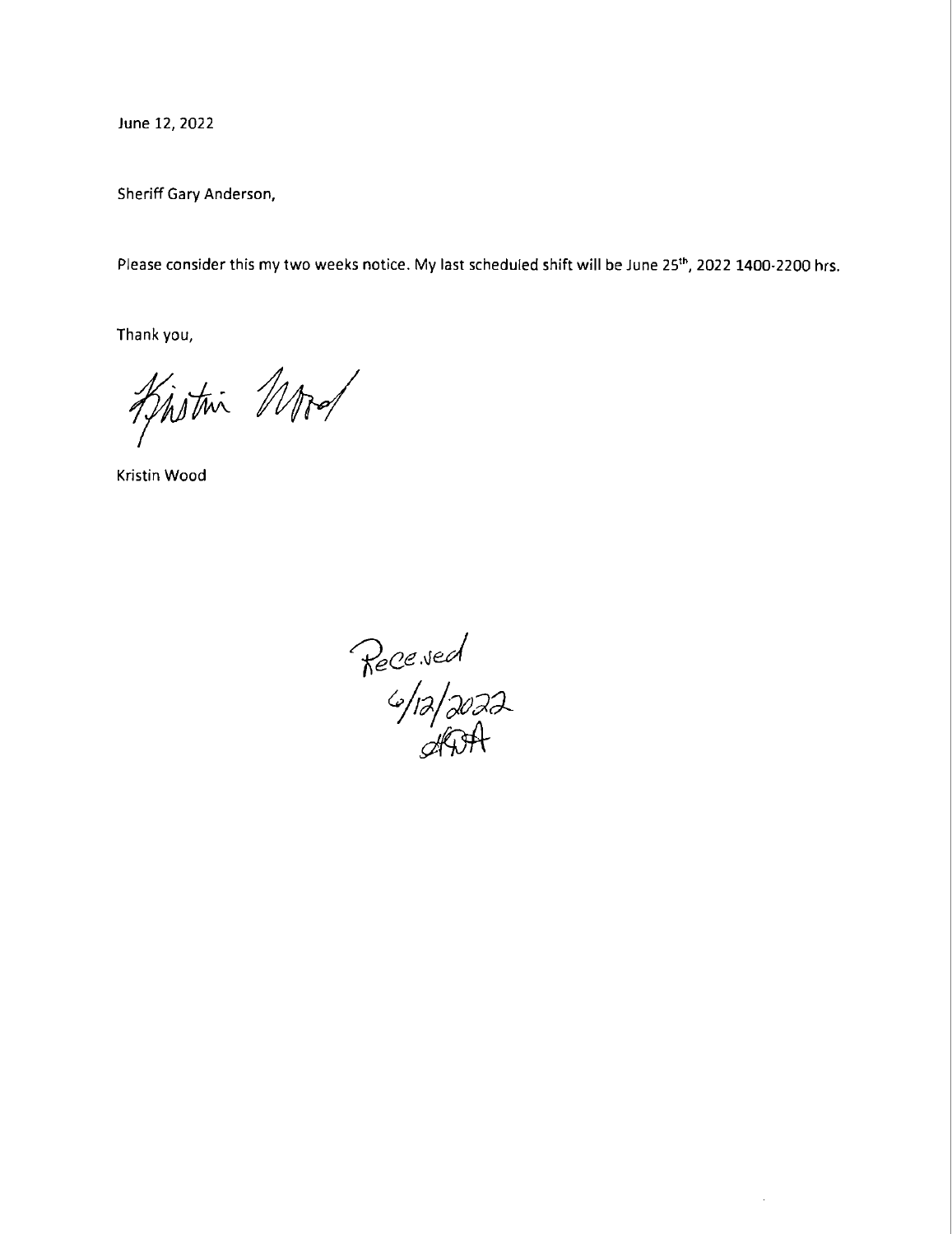June 12, 2022

Sheriff Gary Anderson,

Please consider this my two weeks notice. My last scheduled shift will be June 25'", 2022 1400-2200 hrs.

Thank you,

Kistri Mod

Kristin Wood

Receved<br>6/12/2022<br>ADA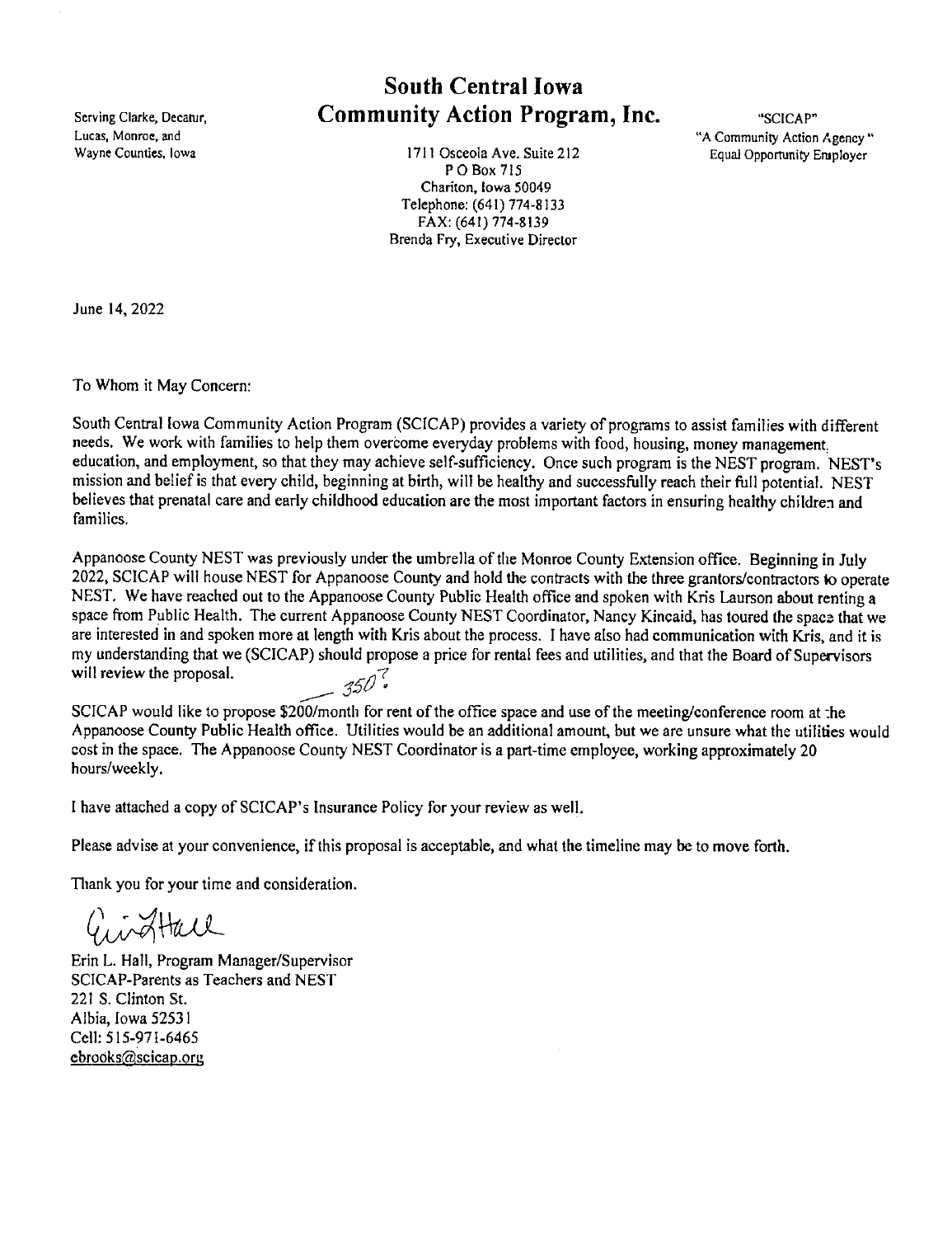# South Central Iowa Scrving Clarke, Decatur, **Community Action Program, Inc.** "SCICAP"<br>Lucas. Monroe. and "A Community Action"

Wayne Counties, Iowa **1711 Osceola Ave.** Suite 212 Equal Opportunity Employer P O Box 715 Chariton, Iowa 50049 Telephone: (641) 774-8133 FAX: (641) 774-8139 Brenda Fry, Executive Director

Lucas, Monroe, and "A Community Action Agency "

June 14, 2022

To Whom it May Concern:

South Central Iowa Community Action Program (SCICAP) provides a variety of programs to assist families with different needs. We work with families to help them overcome everyday problems with food, housing, money management: education, and employment, so that they may achieve self-sufficiency. Once such program is the NEST program. NEST's mission and belief is that every child, beginning at birth, will be healthy and successfully reach their full potential. NEST believes that prenatal care and early childhood education are the most important factors in ensuring healthy children and families.

Appanoosc County NEST was previously under the umbrella of the Monroe County Extension office. Beginning in July 2022, SCICAP will house NEST for Appanoose County and hold the contracts with the three grantors/contractors to operate NEST. We have reached out to the Appanoose County Public Health office and spoken with Kris Laurson about renting <sup>a</sup> space from Public Health. The current Appanoose County NEST Coordinator, Nancy Kincaid, has toured the space that we are interested in and spoken more at length with Kris about the process. I have also had communication with Kris, and it is my understanding that we (SCICAP) should propose a price for rental fees and utilities, and that the Board of Supervisors will review the proposal.  $-350$ 

SCICAP would like to propose \$200/month for rent of the office space and use of the meeting/conference room at :he Appanoose County Public Health office. Utilities would be an additional amount, but we are unsure what the utilities would cost in the space. The Appanoose County NEST Coordinator is a part-time employee, working approximately 20 hours/weekly.

<sup>I</sup>have attached a copy of SCICAP's Insurance Policy for your review as well.

Please advise at your convenience, if this proposal is acceptable, and what the timeline may be to move forth.

Thank you for your time and consideration.

GirgHall

Erin L. Hall, Program Manager/Supervisor SCICAP-Parents as Teachers and NEST 221 S. Clinton St. Albia, Iowa 52531 Cell: 515-971-6465 ebrooks@scicap.org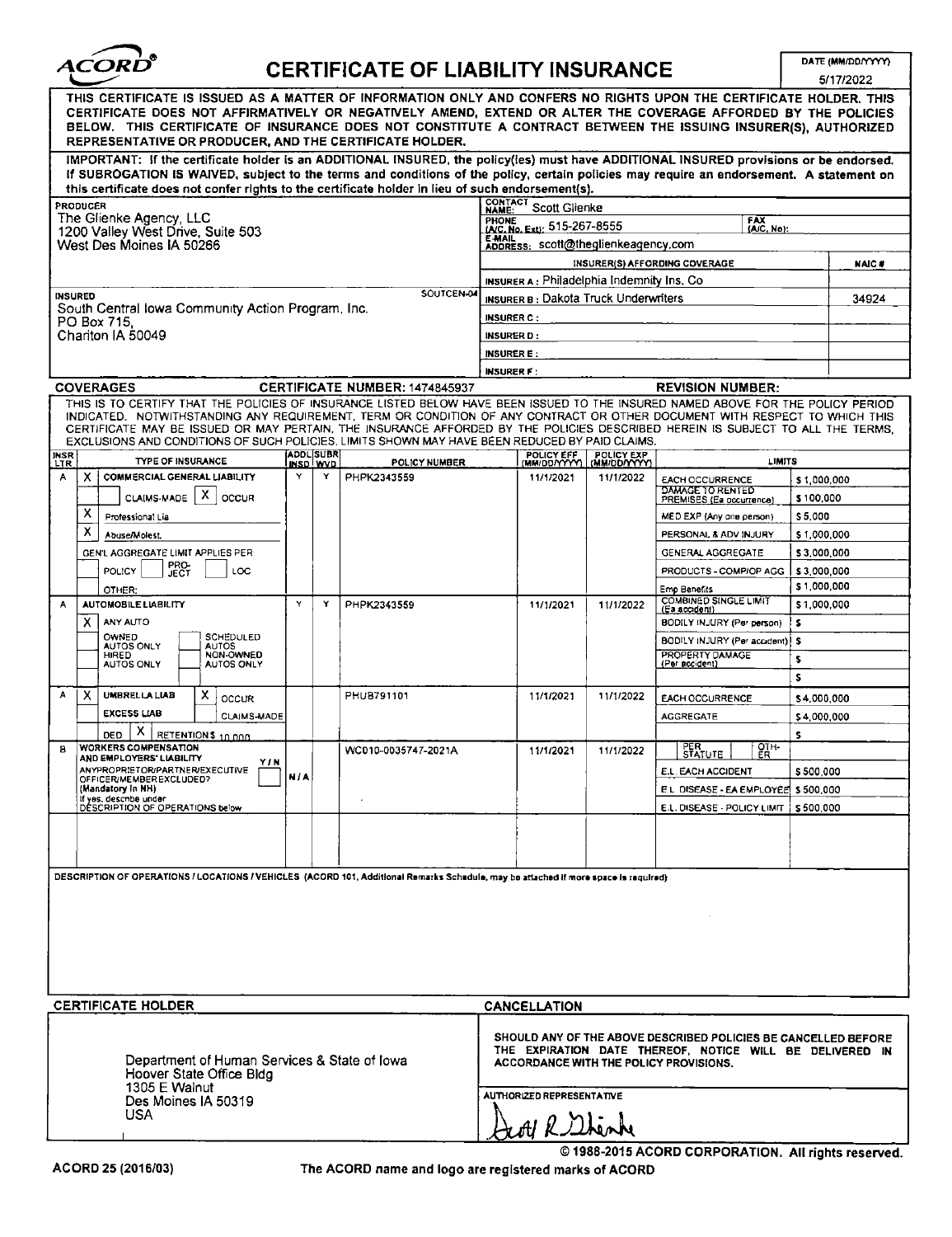| ĄCORD® |  |
|--------|--|
|        |  |

## CERTIFICATE OF LIABILITY INSURANCE

DATE (MM/DD/YYYY)

|                   |                                                                                                                                                                                                                                                                                                                                                                                                                                                                                                    |            |                  |                                       |                                                                                                                                                                      |                                                   |                            |                                                 |                              | 5/17/2022    |
|-------------------|----------------------------------------------------------------------------------------------------------------------------------------------------------------------------------------------------------------------------------------------------------------------------------------------------------------------------------------------------------------------------------------------------------------------------------------------------------------------------------------------------|------------|------------------|---------------------------------------|----------------------------------------------------------------------------------------------------------------------------------------------------------------------|---------------------------------------------------|----------------------------|-------------------------------------------------|------------------------------|--------------|
|                   | THIS CERTIFICATE IS ISSUED AS A MATTER OF INFORMATION ONLY AND CONFERS NO RIGHTS UPON THE CERTIFICATE HOLDER. THIS<br>CERTIFICATE DOES NOT AFFIRMATIVELY OR NEGATIVELY AMEND, EXTEND OR ALTER THE COVERAGE AFFORDED BY THE POLICIES<br>BELOW. THIS CERTIFICATE OF INSURANCE DOES NOT CONSTITUTE A CONTRACT BETWEEN THE ISSUING INSURER(S), AUTHORIZED<br>REPRESENTATIVE OR PRODUCER, AND THE CERTIFICATE HOLDER.                                                                                   |            |                  |                                       |                                                                                                                                                                      |                                                   |                            |                                                 |                              |              |
|                   | IMPORTANT: If the certificate holder is an ADDITIONAL INSURED, the policy(ies) must have ADDITIONAL INSURED provisions or be endorsed.<br>If SUBROGATION IS WAIVED, subject to the terms and conditions of the policy, certain policies may require an endorsement. A statement on                                                                                                                                                                                                                 |            |                  |                                       |                                                                                                                                                                      |                                                   |                            |                                                 |                              |              |
|                   | this certificate does not confer rights to the certificate holder in lieu of such endorsement(s).                                                                                                                                                                                                                                                                                                                                                                                                  |            |                  |                                       | CONTACT                                                                                                                                                              |                                                   |                            |                                                 |                              |              |
|                   | PRODUCER<br>The Glienke Agency, LLC                                                                                                                                                                                                                                                                                                                                                                                                                                                                |            |                  |                                       | <b>NAME:</b>                                                                                                                                                         | Scott Glienke                                     |                            |                                                 |                              |              |
|                   | 1200 Valley West Drive, Suite 503                                                                                                                                                                                                                                                                                                                                                                                                                                                                  |            |                  |                                       | <b>PHONE</b>                                                                                                                                                         | (A/C, No. Ext): 515-267-8555                      |                            |                                                 | FAX<br>(A/C, No):            |              |
|                   | West Des Moines IA 50266                                                                                                                                                                                                                                                                                                                                                                                                                                                                           |            |                  |                                       | <b>E-MAIL</b>                                                                                                                                                        | ADDRESS: scott@theglienkeagency.com               |                            |                                                 |                              |              |
|                   |                                                                                                                                                                                                                                                                                                                                                                                                                                                                                                    |            |                  |                                       |                                                                                                                                                                      |                                                   |                            | INSURER(S) AFFORDING COVERAGE                   |                              | <b>NAIC#</b> |
|                   |                                                                                                                                                                                                                                                                                                                                                                                                                                                                                                    |            |                  |                                       |                                                                                                                                                                      | <b>INSURER A: Philadelphia Indemnity Ins. Co.</b> |                            |                                                 |                              |              |
|                   | <b>INSURED</b>                                                                                                                                                                                                                                                                                                                                                                                                                                                                                     |            |                  | SOUTCEN-04                            |                                                                                                                                                                      | <b>INSURER B: Dakota Truck Underwriters</b>       |                            |                                                 |                              | 34924        |
|                   | South Central lowa Community Action Program, Inc.<br>PO Box 715.                                                                                                                                                                                                                                                                                                                                                                                                                                   |            |                  |                                       | <b>INSURER C:</b>                                                                                                                                                    |                                                   |                            |                                                 |                              |              |
|                   | Chariton IA 50049                                                                                                                                                                                                                                                                                                                                                                                                                                                                                  |            |                  |                                       | <b>INSURER D:</b>                                                                                                                                                    |                                                   |                            |                                                 |                              |              |
|                   |                                                                                                                                                                                                                                                                                                                                                                                                                                                                                                    |            |                  |                                       | <b>INSURER E:</b>                                                                                                                                                    |                                                   |                            |                                                 |                              |              |
|                   |                                                                                                                                                                                                                                                                                                                                                                                                                                                                                                    |            |                  |                                       | <b>INSURER F:</b>                                                                                                                                                    |                                                   |                            |                                                 |                              |              |
|                   | <b>COVERAGES</b>                                                                                                                                                                                                                                                                                                                                                                                                                                                                                   |            |                  | <b>CERTIFICATE NUMBER: 1474845937</b> |                                                                                                                                                                      |                                                   |                            | <b>REVISION NUMBER:</b>                         |                              |              |
|                   | THIS IS TO CERTIFY THAT THE POLICIES OF INSURANCE LISTED BELOW HAVE BEEN ISSUED TO THE INSURED NAMED ABOVE FOR THE POLICY PERIOD<br>INDICATED. NOTWITHSTANDING ANY REQUIREMENT, TERM OR CONDITION OF ANY CONTRACT OR OTHER DOCUMENT WITH RESPECT TO WHICH THIS<br>CERTIFICATE MAY BE ISSUED OR MAY PERTAIN, THE INSURANCE AFFORDED BY THE POLICIES DESCRIBED HEREIN IS SUBJECT TO ALL THE TERMS.<br>EXCLUSIONS AND CONDITIONS OF SUCH POLICIES, LIMITS SHOWN MAY HAVE BEEN REDUCED BY PAID CLAIMS. |            |                  |                                       |                                                                                                                                                                      |                                                   |                            |                                                 |                              |              |
| INSR <sup>1</sup> | <b>TYPE OF INSURANCE</b>                                                                                                                                                                                                                                                                                                                                                                                                                                                                           |            | <b>ADDL SUBR</b> |                                       |                                                                                                                                                                      | POLICY EFF                                        | POLICY EXP<br>(MM/DD/YYYY) |                                                 |                              |              |
| А                 | COMMERCIAL GENERAL LIABILITY<br>x                                                                                                                                                                                                                                                                                                                                                                                                                                                                  | Y          | INSD WVD<br>Y    | POLICY NUMBER<br>PHPK2343559          |                                                                                                                                                                      | 11/1/2021                                         | 11/1/2022                  | <b>EACH OCCURRENCE</b>                          | <b>LIMITS</b><br>\$1,000,000 |              |
|                   | x                                                                                                                                                                                                                                                                                                                                                                                                                                                                                                  |            |                  |                                       |                                                                                                                                                                      |                                                   |                            | DAMAGE TO RENTED                                |                              |              |
|                   | CLAIMS-MADE<br>OCCUR<br>x                                                                                                                                                                                                                                                                                                                                                                                                                                                                          |            |                  |                                       |                                                                                                                                                                      |                                                   |                            | PREMISES (Ea occurrence)                        | \$100,000                    |              |
|                   | Professional Lia<br>х                                                                                                                                                                                                                                                                                                                                                                                                                                                                              |            |                  |                                       |                                                                                                                                                                      |                                                   |                            | MED EXP (Any one person)                        | \$5,000                      |              |
|                   | Abuse/Molest.                                                                                                                                                                                                                                                                                                                                                                                                                                                                                      |            |                  |                                       |                                                                                                                                                                      |                                                   |                            | PERSONAL & ADV INJURY                           | \$1,000,000                  |              |
|                   | GEN'L AGGREGATE LIMIT APPLIES PER                                                                                                                                                                                                                                                                                                                                                                                                                                                                  |            |                  |                                       |                                                                                                                                                                      |                                                   |                            | <b>GENERAL AGGREGATE</b>                        | \$3,000,000                  |              |
|                   | PRO-<br>JECT<br><b>POLICY</b><br>LOC                                                                                                                                                                                                                                                                                                                                                                                                                                                               |            |                  |                                       |                                                                                                                                                                      |                                                   |                            | PRODUCTS - COMP/OP AGG                          | \$3,000,000                  |              |
|                   | OTHER:                                                                                                                                                                                                                                                                                                                                                                                                                                                                                             |            |                  |                                       |                                                                                                                                                                      |                                                   |                            | Emp Banefits<br><b>COMBINED SINGLE LIMIT</b>    | \$1,000,000                  |              |
| А                 | <b>AUTOMOBILE LIABILITY</b>                                                                                                                                                                                                                                                                                                                                                                                                                                                                        | Y          | Y                | PHPK2343559                           |                                                                                                                                                                      | 11/1/2021                                         | 11/1/2022                  | (Ea acodent)                                    | \$1,000,000                  |              |
|                   | ANY AUTO<br>х<br>OWNED<br><b>SCHEDULED</b>                                                                                                                                                                                                                                                                                                                                                                                                                                                         |            |                  |                                       |                                                                                                                                                                      |                                                   |                            | BODILY INJURY (Per person)                      | \$                           |              |
|                   | AUTOS ONLY<br><b>AUTOS</b><br>NON-OWNED                                                                                                                                                                                                                                                                                                                                                                                                                                                            |            |                  |                                       |                                                                                                                                                                      |                                                   |                            | BODILY INJURY (Per accident)<br>PROPERTY DAMAGE | l S                          |              |
|                   | HIRED<br><b>AUTOS ONLY</b><br>AUTOS ONLY                                                                                                                                                                                                                                                                                                                                                                                                                                                           |            |                  |                                       |                                                                                                                                                                      |                                                   |                            | (Per accident)                                  | \$                           |              |
|                   |                                                                                                                                                                                                                                                                                                                                                                                                                                                                                                    |            |                  |                                       |                                                                                                                                                                      |                                                   |                            |                                                 | \$                           |              |
| А                 | <b>UMBRELLA LIAB</b><br>х<br>х<br><b>OCCUR</b>                                                                                                                                                                                                                                                                                                                                                                                                                                                     |            |                  | PHU8791101                            |                                                                                                                                                                      | 11/1/2021                                         | 11/1/2022                  | <b>EACH OCCURRENCE</b>                          | \$4,000,000                  |              |
|                   | <b>EXCESS LIAB</b><br><b>CLAIMS-MADE</b>                                                                                                                                                                                                                                                                                                                                                                                                                                                           |            |                  |                                       |                                                                                                                                                                      |                                                   |                            | <b>AGGREGATE</b>                                | \$4,000,000                  |              |
|                   | х<br>RETENTIONS 10 000<br>DED                                                                                                                                                                                                                                                                                                                                                                                                                                                                      |            |                  |                                       |                                                                                                                                                                      |                                                   |                            |                                                 | \$                           |              |
| 8                 | <b>WORKERS COMPENSATION</b><br>AND EMPLOYERS' LIABILITY<br>Y / N                                                                                                                                                                                                                                                                                                                                                                                                                                   |            |                  | WC010-0035747-2021A                   |                                                                                                                                                                      | 11/1/2021                                         | 11/1/2022                  | PER<br>STATUTE                                  | $\overline{21}$              |              |
|                   | ANYPROPRIETOR/PARTNER/EXECUTIVE<br>OFFICER/MEMBER EXCLUDED?                                                                                                                                                                                                                                                                                                                                                                                                                                        | <b>NIA</b> |                  |                                       |                                                                                                                                                                      |                                                   |                            | <b>E.L. EACH ACCIDENT</b>                       | \$500,000                    |              |
|                   | (Mandatory in NH).<br>if yes, describe under                                                                                                                                                                                                                                                                                                                                                                                                                                                       |            |                  |                                       |                                                                                                                                                                      |                                                   |                            | E.L. DISEASE - EA EMPLOYEE \$500,000            |                              |              |
|                   | DESCRIPTION OF OPERATIONS below                                                                                                                                                                                                                                                                                                                                                                                                                                                                    |            |                  |                                       |                                                                                                                                                                      |                                                   |                            | E.L. DISEASE - POLICY LIMIT   \$500,000         |                              |              |
|                   |                                                                                                                                                                                                                                                                                                                                                                                                                                                                                                    |            |                  |                                       |                                                                                                                                                                      |                                                   |                            |                                                 |                              |              |
|                   | DESCRIPTION OF OPERATIONS / LOCATIONS / VEHICLES (ACORD 101, Additional Remarks Schadule, may be attached if more space is required)                                                                                                                                                                                                                                                                                                                                                               |            |                  |                                       |                                                                                                                                                                      |                                                   |                            |                                                 |                              |              |
|                   |                                                                                                                                                                                                                                                                                                                                                                                                                                                                                                    |            |                  |                                       |                                                                                                                                                                      |                                                   |                            |                                                 |                              |              |
|                   |                                                                                                                                                                                                                                                                                                                                                                                                                                                                                                    |            |                  |                                       |                                                                                                                                                                      |                                                   |                            |                                                 |                              |              |
|                   |                                                                                                                                                                                                                                                                                                                                                                                                                                                                                                    |            |                  |                                       |                                                                                                                                                                      |                                                   |                            |                                                 |                              |              |
|                   |                                                                                                                                                                                                                                                                                                                                                                                                                                                                                                    |            |                  |                                       |                                                                                                                                                                      |                                                   |                            |                                                 |                              |              |
|                   |                                                                                                                                                                                                                                                                                                                                                                                                                                                                                                    |            |                  |                                       |                                                                                                                                                                      |                                                   |                            |                                                 |                              |              |
|                   |                                                                                                                                                                                                                                                                                                                                                                                                                                                                                                    |            |                  |                                       |                                                                                                                                                                      |                                                   |                            |                                                 |                              |              |
|                   | <b>CERTIFICATE HOLDER</b>                                                                                                                                                                                                                                                                                                                                                                                                                                                                          |            |                  |                                       |                                                                                                                                                                      | <b>CANCELLATION</b>                               |                            |                                                 |                              |              |
|                   | Department of Human Services & State of Iowa<br>Hoover State Office Bldg<br>1305 E Walnut                                                                                                                                                                                                                                                                                                                                                                                                          |            |                  |                                       | SHOULD ANY OF THE ABOVE DESCRIBED POLICIES BE CANCELLED BEFORE<br>THE EXPIRATION DATE THEREOF, NOTICE WILL BE DELIVERED IN<br>ACCORDANCE WITH THE POLICY PROVISIONS. |                                                   |                            |                                                 |                              |              |
|                   | Des Moines IA 50319<br>USA.                                                                                                                                                                                                                                                                                                                                                                                                                                                                        |            |                  |                                       | AUTHORIZED REPRESENTATIVE<br>roll R. Shinh                                                                                                                           |                                                   |                            |                                                 |                              |              |

© 1988-2015 ACORD CORPORATION. All rights reserved.

ACORD 25 (2016/03) The ACORD name and logo are registered marks of ACORD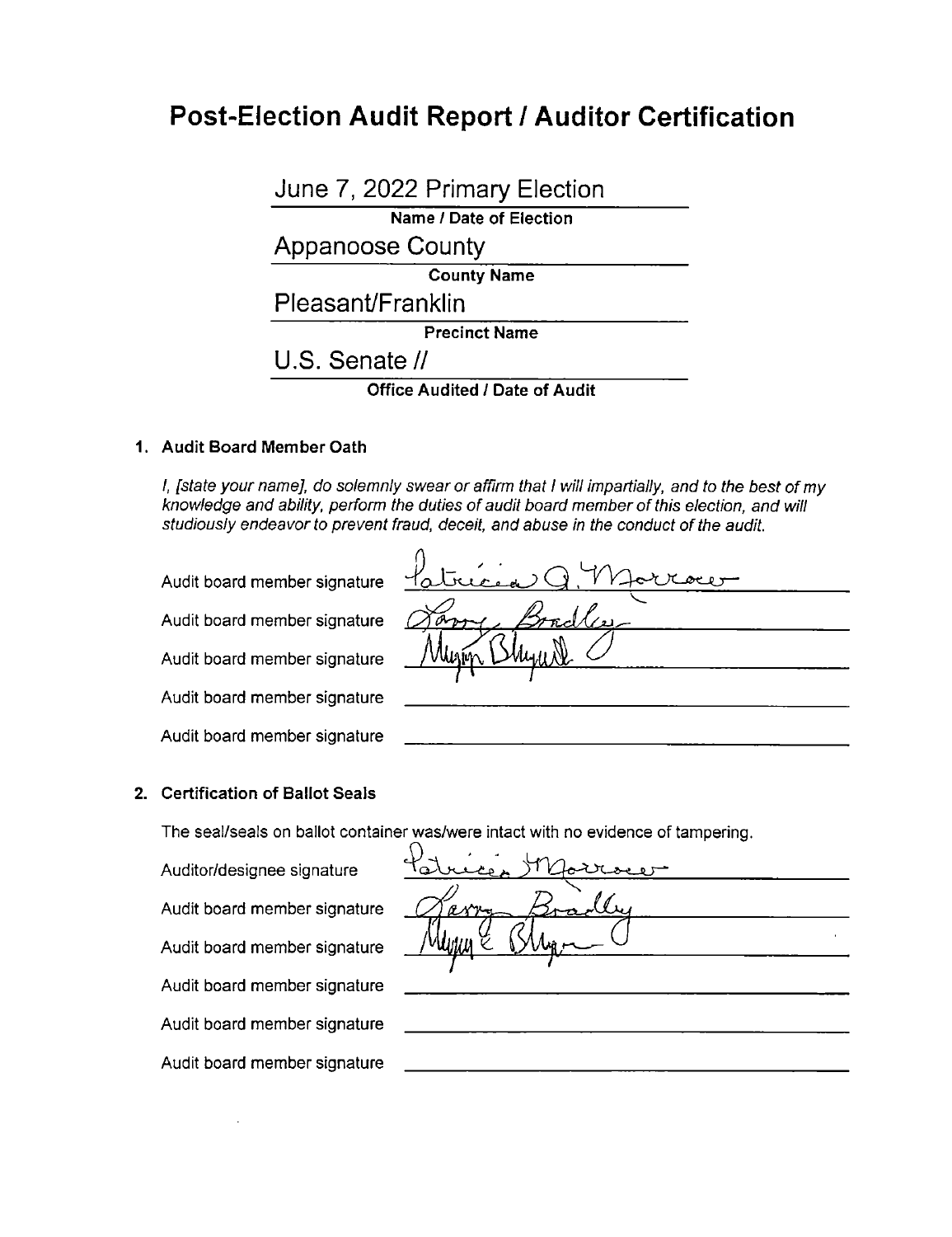## Post-Election Audit Report / Auditor Certification

June 7, 2022 Primary Election Name / Date of Election Appanoose County County Name

Pleasant/Franklin

Precinct Name

U.S. Senate //

**Office Audited / Date of Audit** 

## 1. Audit Board Member Oath

I, [state your name], do solemnly swear or affirm that / will impartially, and to the best of my knowledge and ability, perform the duties of audit board member of this election, and will studiously endeavor to prevent fraud, deceit, and abuse in the conduct of the audit.

Audit board member signature<br>Audit board member signature Audit board member signature Audit board member signature Audit board member signature

|                               | siuulousiy endeavor to prevent irauu, decell, and abuse in the conduct of the audit. |
|-------------------------------|--------------------------------------------------------------------------------------|
|                               | Audit board member signature <u>Patrician Q</u> Marroce                              |
| Audit board member signature  |                                                                                      |
| Audit board member signature  | Shyade                                                                               |
| Audit board member signature  |                                                                                      |
| Audit board member signature. |                                                                                      |

#### 2. Certification of Ballot Seals

The seal/seals on ballot container was/were intact with no evidence of tampering.

Audit board member signature Audit board member signature Audit board member signature Audit board member signature

The seal/seals on ballot container was/were intact with no evidence of<br>Auditor/designee signature Policie, Morror en <u>ri<br>/</u><br>ar /  $\int_{0}^{1}$ K  $\tau$  $r$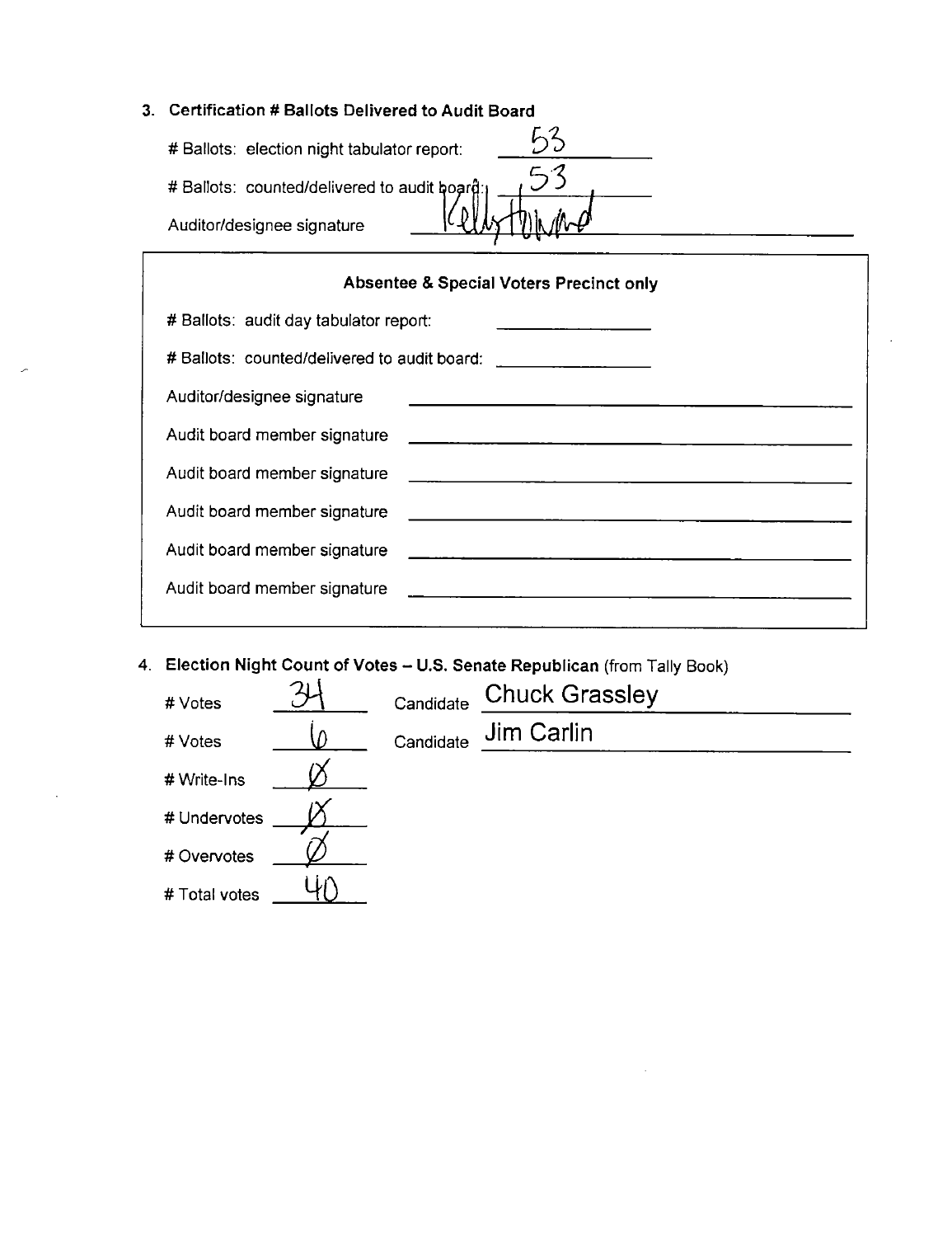## Certification # Ballots Delivered to Audit Board

| # Ballots: election night tabulator report:  |  |
|----------------------------------------------|--|
| # Ballots: counted/delivered to audit board: |  |
| Auditor/designee signature                   |  |

| Absentee & Special Voters Precinct only |                                                                                                                                        |  |
|-----------------------------------------|----------------------------------------------------------------------------------------------------------------------------------------|--|
| # Ballots: audit day tabulator report:  | <u> 1989 - Jan James James Barnett all</u>                                                                                             |  |
|                                         | # Ballots: counted/delivered to audit board: _________________                                                                         |  |
| Auditor/designee signature              | <u> 1989 - Andrea Andrea Andrea Andrea Andrea Andrea Andrea Andrea Andrea Andrea Andrea Andrea Andrea Andrea Andr</u>                  |  |
| Audit board member signature            |                                                                                                                                        |  |
| Audit board member signature            | e de la construcción de la construcción de la construcción de la construcción de la construcción de la construcción<br>La construcción |  |
| Audit board member signature            | <u> 1980 - Andrea Andrew Andrew Alexander (</u> † 1910)                                                                                |  |
| Audit board member signature            |                                                                                                                                        |  |
| Audit board member signature            |                                                                                                                                        |  |
|                                         |                                                                                                                                        |  |

4. Election Night Count of Votes - U.S. Senate Republican (from Tally Book)

| # Votes       | Candidate | <b>Chuck Grassley</b> |
|---------------|-----------|-----------------------|
| # Votes       | Candidate | Jim Carlin            |
| # Write-Ins   |           |                       |
| # Undervotes  |           |                       |
| # Overvotes   |           |                       |
| # Total votes |           |                       |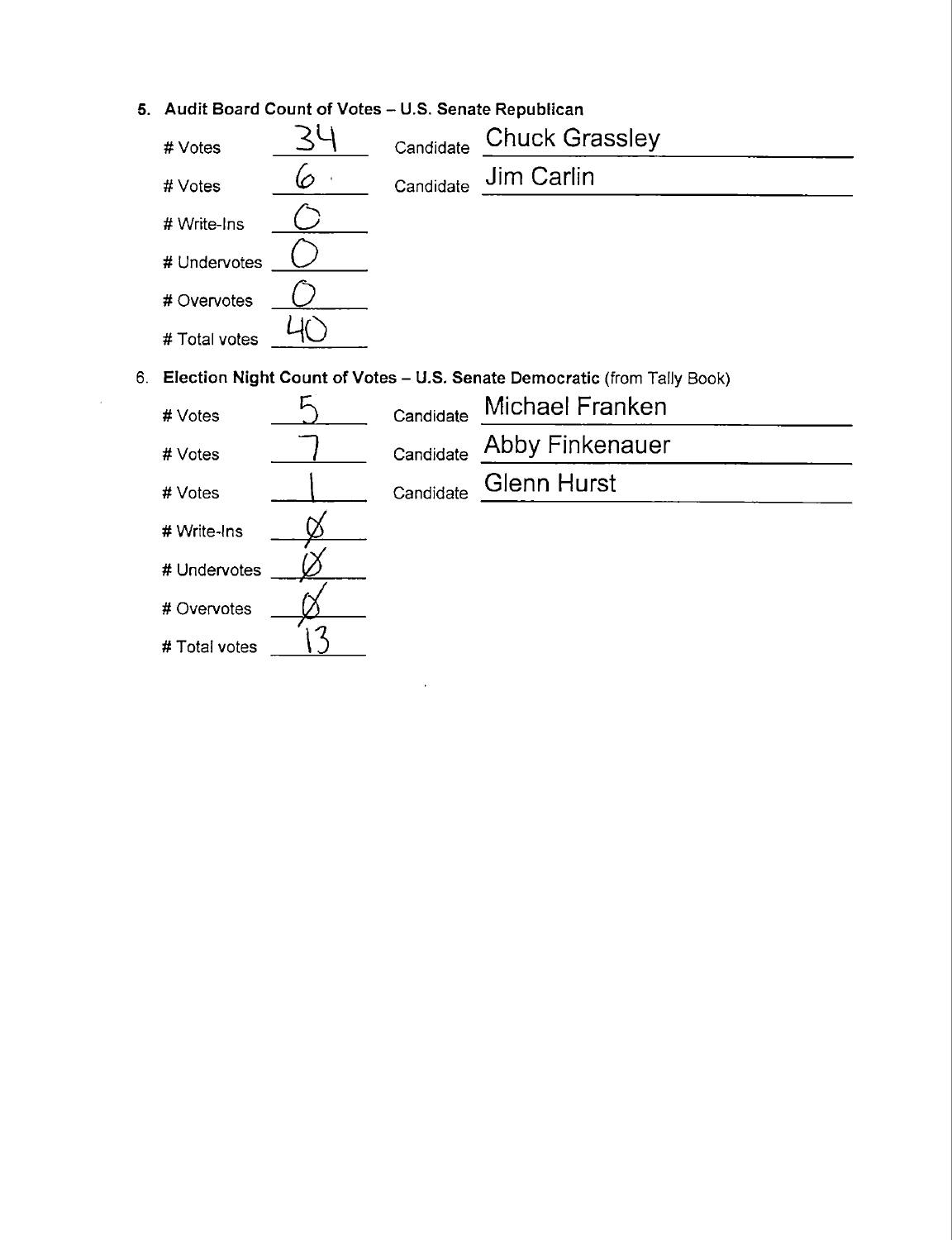5. Audit Board Count of Votes — U.S. Senate Republican

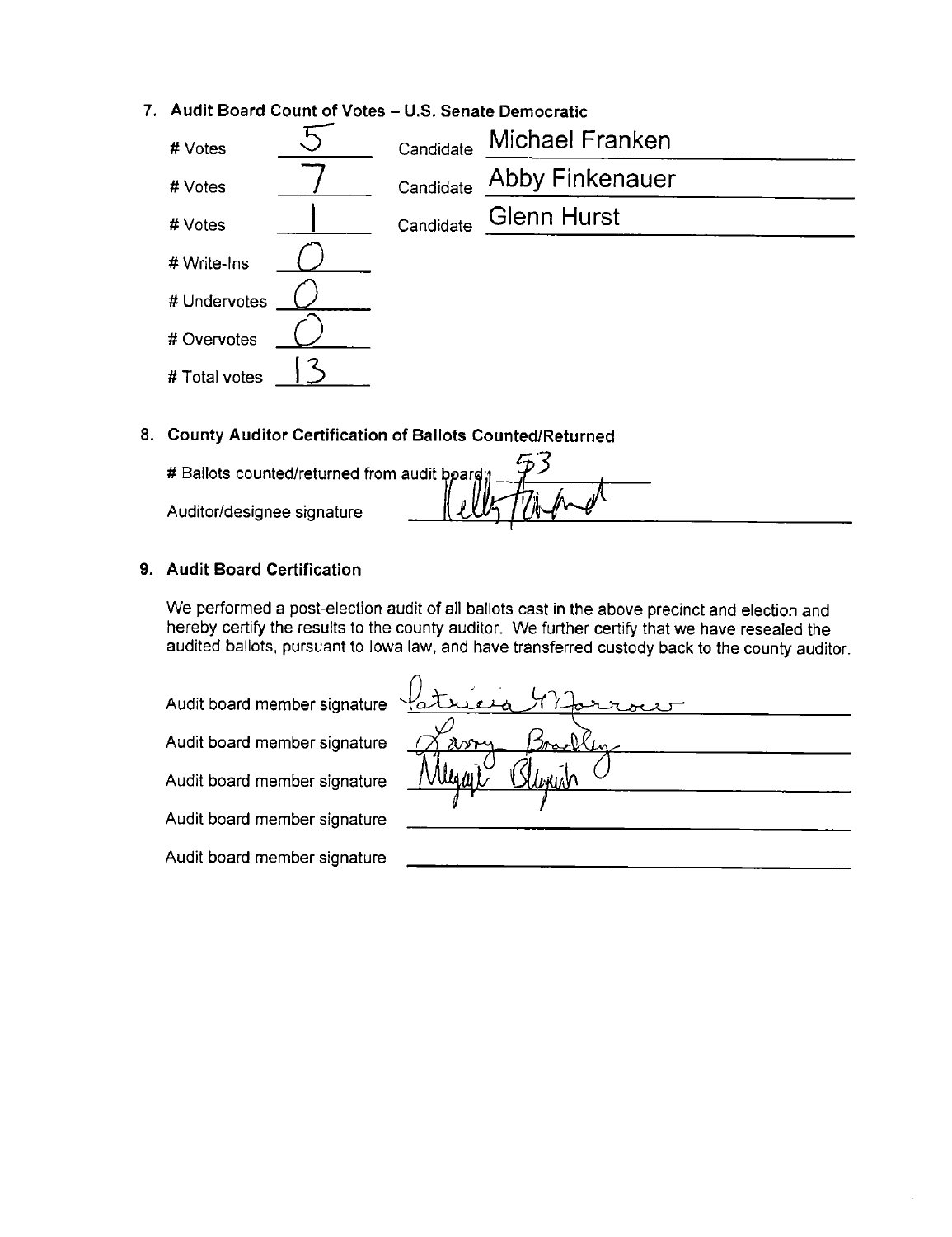# 7. Audit Board Count of Votes – U.S. Senate Democratic<br>  $\#$  Votes  $\overline{\phantom{1}}\qquad \overline{\phantom{1}}$  Candidate  $\overline{\phantom{1}}\qquad$  Michael Franken # Votes 7 Candidate Abby Finkenauer #Votes I Candidate Glenn Hurst # Write—Ins ( 2 # Undervotes # Overvotes # Total votes

## 8. County Auditor Certification of Ballots Counted/Returned

 $M$ # Ballots counted/returned from audit b*p*ar ' Auditor/designee signature I

## 9. Audit Board Certification

We performed a post-election audit of all ballots cast in the above precinct and election and hereby certify the results to the county auditor. We further certify that we have resealed the audited ballots, pursuant to Iowa law, and have transferred custody back to the county auditor.

Audit board member signature

| Audit board member signature |       |
|------------------------------|-------|
| Audit board member signature | asony |
| Audit board member signature |       |
| Audit board member signature |       |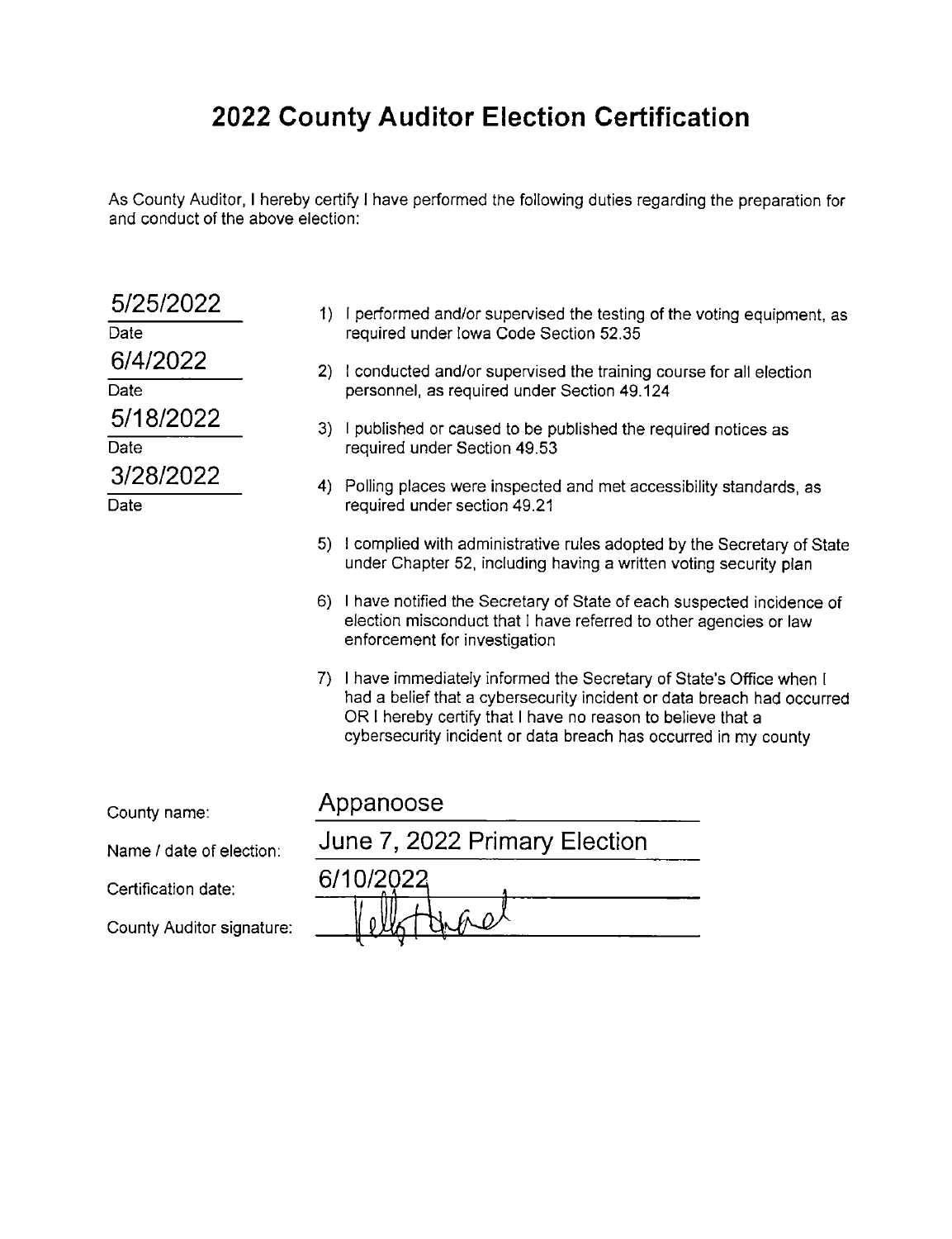# 2022 County Auditor Election Certification

As County Auditor, I hereby certify l have performed the following duties regarding the preparation for and conduct of the above election:

| 5/25/2022                 |                               | 1) I performed and/or supervised the testing of the voting equipment, as                                                                                                                                                                                                          |  |
|---------------------------|-------------------------------|-----------------------------------------------------------------------------------------------------------------------------------------------------------------------------------------------------------------------------------------------------------------------------------|--|
| Date                      |                               | required under lowa Code Section 52.35                                                                                                                                                                                                                                            |  |
| 6/4/2022                  |                               | 2) I conducted and/or supervised the training course for all election<br>personnel, as required under Section 49.124                                                                                                                                                              |  |
| Date                      |                               |                                                                                                                                                                                                                                                                                   |  |
| 5/18/2022                 | 3)                            | I published or caused to be published the required notices as                                                                                                                                                                                                                     |  |
| Date                      |                               | required under Section 49.53                                                                                                                                                                                                                                                      |  |
| 3/28/2022                 |                               | 4) Polling places were inspected and met accessibility standards, as                                                                                                                                                                                                              |  |
| Date                      |                               | required under section 49.21                                                                                                                                                                                                                                                      |  |
|                           |                               | 5) I complied with administrative rules adopted by the Secretary of State<br>under Chapter 52, including having a written voting security plan                                                                                                                                    |  |
|                           |                               | 6) I have notified the Secretary of State of each suspected incidence of<br>election misconduct that I have referred to other agencies or law<br>enforcement for investigation                                                                                                    |  |
|                           |                               | 7) I have immediately informed the Secretary of State's Office when I<br>had a belief that a cybersecurity incident or data breach had occurred<br>OR I hereby certify that I have no reason to believe that a<br>cybersecurity incident or data breach has occurred in my county |  |
| County name:              |                               | Appanoose                                                                                                                                                                                                                                                                         |  |
|                           |                               |                                                                                                                                                                                                                                                                                   |  |
| Name / date of election:  | June 7, 2022 Primary Election |                                                                                                                                                                                                                                                                                   |  |
| Certification date:       |                               | 6/10/2022                                                                                                                                                                                                                                                                         |  |
| County Auditor signature: |                               |                                                                                                                                                                                                                                                                                   |  |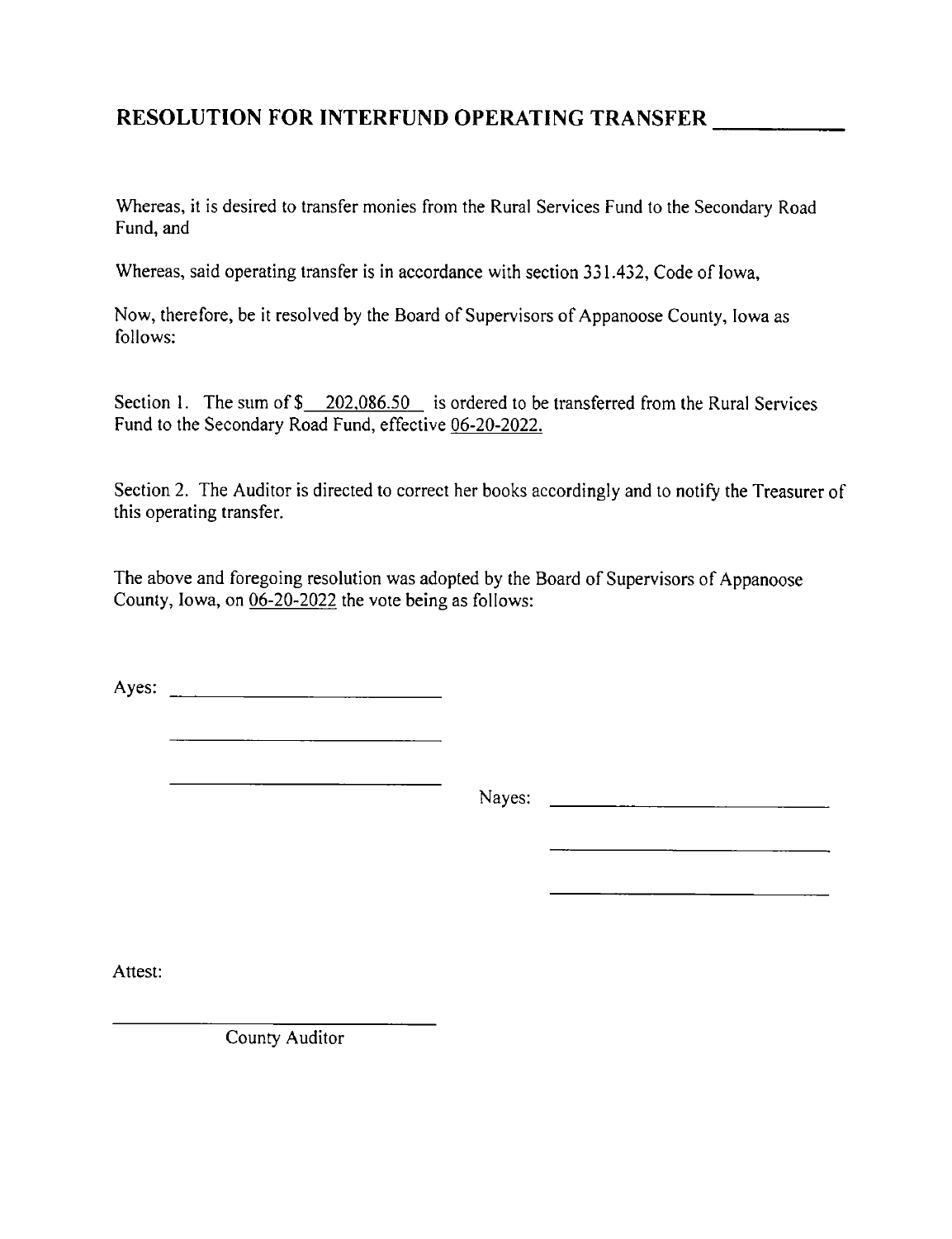## RESOLUTION FOR INTERFUND OPERATING TRANSFER

Whereas, it is desired to transfer monies from the Rural Services Fund to the Secondary Road Fund, and

Whereas, said operating transfer is in accordance with section 331.432, Code of Iowa,

Now, therefore, be it resolved by the Board of Supervisors of Appanoose County, Iowa as follows:

Section 1. The sum of  $\frac{202,086.50}{202,086.50}$  is ordered to be transferred from the Rural Services Fund to the Secondary Road Fund, effective 06-20-2022.

Section 2. The Auditor is directed to correct her books accordingly and to notify the Treasurer of this operating transfer.

The above and foregoing resolution was adopted by the Board of Supervisors of Appanoose County, Iowa, on 06-20-2022 the vote being as follows:

Ayes:

Nayes:

Attest:

County Auditor